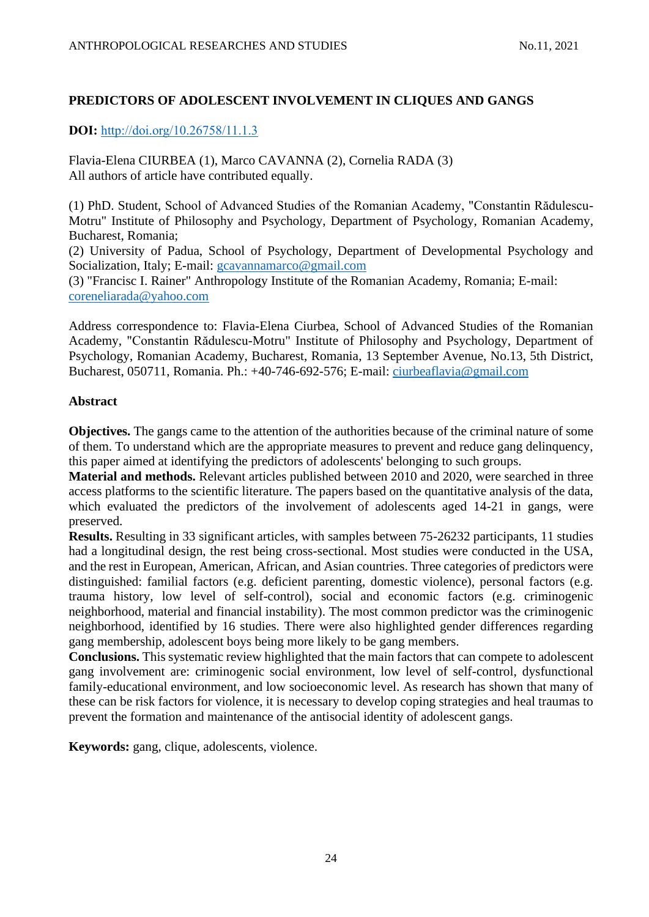# **PREDICTORS OF ADOLESCENT INVOLVEMENT IN CLIQUES AND GANGS**

**DOI:** [http://doi.org/10.26758/11.1.3](https://www.journalstudiesanthropology.ro/en/predictors-of-adolescent-involvement-in-cliques-and-gangs/a161/)

Flavia-Elena CIURBEA (1), Marco CAVANNA (2), Cornelia RADA (3) All authors of article have contributed equally.

(1) PhD. Student, School of Advanced Studies of the Romanian Academy, "Constantin Rădulescu-Motru" Institute of Philosophy and Psychology, Department of Psychology, Romanian Academy, Bucharest, Romania;

(2) University of Padua, School of Psychology, Department of Developmental Psychology and Socialization, Italy; E-mail: [gcavannamarco@gmail.com](mailto:gcavannamarco@gmail.com)

(3) "Francisc I. Rainer" Anthropology Institute of the Romanian Academy, Romania; E-mail: [coreneliarada@yahoo.com](mailto:coreneliarada@yahoo.com)

Address correspondence to: Flavia-Elena Ciurbea, School of Advanced Studies of the Romanian Academy, "Constantin Rădulescu-Motru" Institute of Philosophy and Psychology, Department of Psychology, Romanian Academy, Bucharest, Romania, 13 September Avenue, No.13, 5th District, Bucharest, 050711, Romania. Ph.: +40-746-692-576; E-mail: [ciurbeaflavia@gmail.com](mailto:ciurbeaflavia@gmail.com)

## **Abstract**

**Objectives.** The gangs came to the attention of the authorities because of the criminal nature of some of them. To understand which are the appropriate measures to prevent and reduce gang delinquency, this paper aimed at identifying the predictors of adolescents' belonging to such groups.

**Material and methods.** Relevant articles published between 2010 and 2020, were searched in three access platforms to the scientific literature. The papers based on the quantitative analysis of the data, which evaluated the predictors of the involvement of adolescents aged 14-21 in gangs, were preserved.

**Results.** Resulting in 33 significant articles, with samples between 75-26232 participants, 11 studies had a longitudinal design, the rest being cross-sectional. Most studies were conducted in the USA, and the rest in European, American, African, and Asian countries. Three categories of predictors were distinguished: familial factors (e.g. deficient parenting, domestic violence), personal factors (e.g. trauma history, low level of self-control), social and economic factors (e.g. criminogenic neighborhood, material and financial instability). The most common predictor was the criminogenic neighborhood, identified by 16 studies. There were also highlighted gender differences regarding gang membership, adolescent boys being more likely to be gang members.

**Conclusions.** This systematic review highlighted that the main factors that can compete to adolescent gang involvement are: criminogenic social environment, low level of self-control, dysfunctional family-educational environment, and low socioeconomic level. As research has shown that many of these can be risk factors for violence, it is necessary to develop coping strategies and heal traumas to prevent the formation and maintenance of the antisocial identity of adolescent gangs.

**Keywords:** gang, clique, adolescents, violence.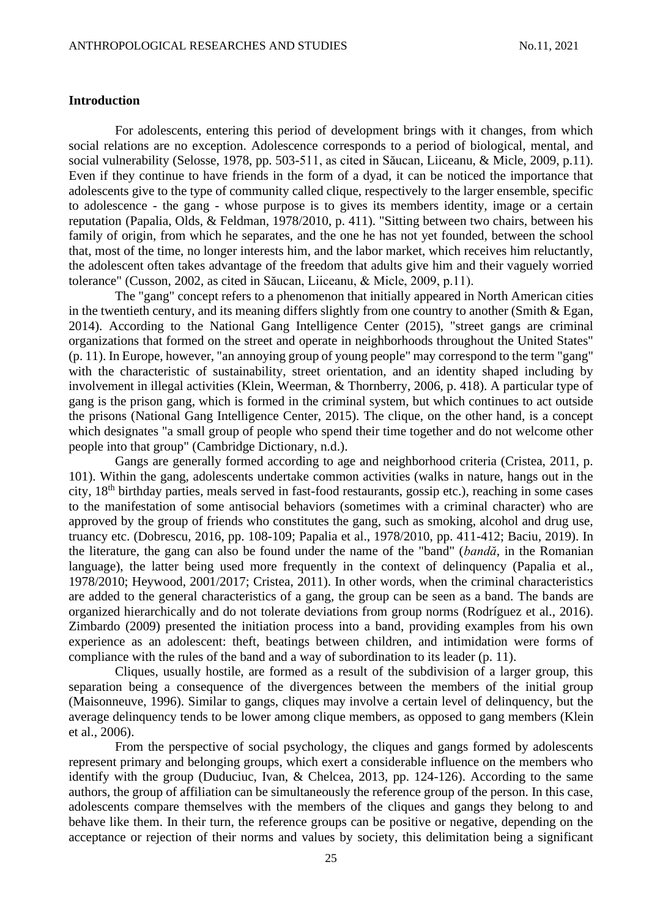## **Introduction**

For adolescents, entering this period of development brings with it changes, from which social relations are no exception. Adolescence corresponds to a period of biological, mental, and social vulnerability (Selosse, 1978, pp. 503-511, as cited in Săucan, Liiceanu, & Micle, 2009, p.11). Even if they continue to have friends in the form of a dyad, it can be noticed the importance that adolescents give to the type of community called clique, respectively to the larger ensemble, specific to adolescence - the gang - whose purpose is to gives its members identity, image or a certain reputation (Papalia, Olds, & Feldman, 1978/2010, p. 411). "Sitting between two chairs, between his family of origin, from which he separates, and the one he has not yet founded, between the school that, most of the time, no longer interests him, and the labor market, which receives him reluctantly, the adolescent often takes advantage of the freedom that adults give him and their vaguely worried tolerance" (Cusson, 2002, as cited in Săucan, Liiceanu, & Micle, 2009, p.11).

The "gang" concept refers to a phenomenon that initially appeared in North American cities in the twentieth century, and its meaning differs slightly from one country to another (Smith & Egan, 2014). According to the National Gang Intelligence Center (2015), "street gangs are criminal organizations that formed on the street and operate in neighborhoods throughout the United States" (p. 11). In Europe, however, "an annoying group of young people" may correspond to the term "gang" with the characteristic of sustainability, street orientation, and an identity shaped including by involvement in illegal activities (Klein, Weerman, & Thornberry, 2006, p. 418). A particular type of gang is the prison gang, which is formed in the criminal system, but which continues to act outside the prisons (National Gang Intelligence Center, 2015). The clique, on the other hand, is a concept which designates "a small group of people who spend their time together and do not welcome other people into that group" (Cambridge Dictionary, n.d.).

Gangs are generally formed according to age and neighborhood criteria (Cristea, 2011, p. 101). Within the gang, adolescents undertake common activities (walks in nature, hangs out in the city.  $18<sup>th</sup>$  birthday parties, meals served in fast-food restaurants, gossip etc.), reaching in some cases to the manifestation of some antisocial behaviors (sometimes with a criminal character) who are approved by the group of friends who constitutes the gang, such as smoking, alcohol and drug use, truancy etc. (Dobrescu, 2016, pp. 108-109; Papalia et al., 1978/2010, pp. 411-412; Baciu, 2019). In the literature, the gang can also be found under the name of the "band" (*bandă*, in the Romanian language), the latter being used more frequently in the context of delinquency (Papalia et al., 1978/2010; Heywood, 2001/2017; Cristea, 2011). In other words, when the criminal characteristics are added to the general characteristics of a gang, the group can be seen as a band. The bands are organized hierarchically and do not tolerate deviations from group norms (Rodríguez et al., 2016). Zimbardo (2009) presented the initiation process into a band, providing examples from his own experience as an adolescent: theft, beatings between children, and intimidation were forms of compliance with the rules of the band and a way of subordination to its leader (p. 11).

Cliques, usually hostile, are formed as a result of the subdivision of a larger group, this separation being a consequence of the divergences between the members of the initial group (Maisonneuve, 1996). Similar to gangs, cliques may involve a certain level of delinquency, but the average delinquency tends to be lower among clique members, as opposed to gang members (Klein et al., 2006).

From the perspective of social psychology, the cliques and gangs formed by adolescents represent primary and belonging groups, which exert a considerable influence on the members who identify with the group (Duduciuc, Ivan, & Chelcea, 2013, pp. 124-126). According to the same authors, the group of affiliation can be simultaneously the reference group of the person. In this case, adolescents compare themselves with the members of the cliques and gangs they belong to and behave like them. In their turn, the reference groups can be positive or negative, depending on the acceptance or rejection of their norms and values by society, this delimitation being a significant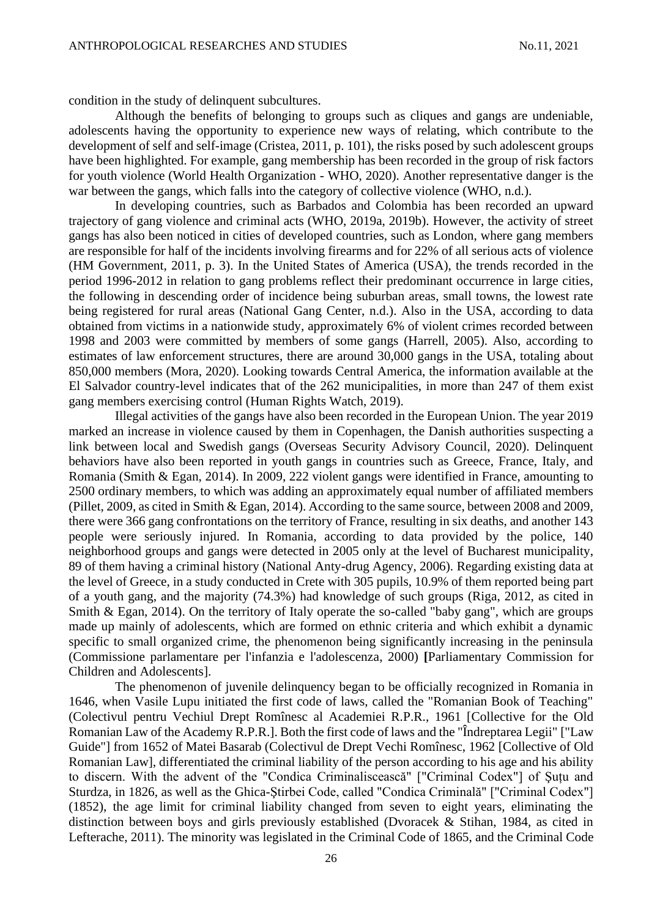condition in the study of delinquent subcultures.

Although the benefits of belonging to groups such as cliques and gangs are undeniable, adolescents having the opportunity to experience new ways of relating, which contribute to the development of self and self-image (Cristea, 2011, p. 101), the risks posed by such adolescent groups have been highlighted. For example, gang membership has been recorded in the group of risk factors for youth violence (World Health Organization - WHO, 2020). Another representative danger is the war between the gangs, which falls into the category of collective violence (WHO, n.d.).

In developing countries, such as Barbados and Colombia has been recorded an upward trajectory of gang violence and criminal acts (WHO, 2019a, 2019b). However, the activity of street gangs has also been noticed in cities of developed countries, such as London, where gang members are responsible for half of the incidents involving firearms and for 22% of all serious acts of violence (HM Government, 2011, p. 3). In the United States of America (USA), the trends recorded in the period 1996-2012 in relation to gang problems reflect their predominant occurrence in large cities, the following in descending order of incidence being suburban areas, small towns, the lowest rate being registered for rural areas (National Gang Center, n.d.). Also in the USA, according to data obtained from victims in a nationwide study, approximately 6% of violent crimes recorded between 1998 and 2003 were committed by members of some gangs (Harrell, 2005). Also, according to estimates of law enforcement structures, there are around 30,000 gangs in the USA, totaling about 850,000 members (Mora, 2020). Looking towards Central America, the information available at the El Salvador country-level indicates that of the 262 municipalities, in more than 247 of them exist gang members exercising control (Human Rights Watch, 2019).

Illegal activities of the gangs have also been recorded in the European Union. The year 2019 marked an increase in violence caused by them in Copenhagen, the Danish authorities suspecting a link between local and Swedish gangs (Overseas Security Advisory Council, 2020). Delinquent behaviors have also been reported in youth gangs in countries such as Greece, France, Italy, and Romania (Smith & Egan, 2014). In 2009, 222 violent gangs were identified in France, amounting to 2500 ordinary members, to which was adding an approximately equal number of affiliated members (Pillet, 2009, as cited in Smith & Egan, 2014). According to the same source, between 2008 and 2009, there were 366 gang confrontations on the territory of France, resulting in six deaths, and another 143 people were seriously injured. In Romania, according to data provided by the police, 140 neighborhood groups and gangs were detected in 2005 only at the level of Bucharest municipality, 89 of them having a criminal history (National Anty-drug Agency, 2006). Regarding existing data at the level of Greece, in a study conducted in Crete with 305 pupils, 10.9% of them reported being part of a youth gang, and the majority (74.3%) had knowledge of such groups (Riga, 2012, as cited in Smith & Egan, 2014). On the territory of Italy operate the so-called "baby gang", which are groups made up mainly of adolescents, which are formed on ethnic criteria and which exhibit a dynamic specific to small organized crime, the phenomenon being significantly increasing in the peninsula (Commissione parlamentare per l'infanzia e l'adolescenza, 2000) **[**Parliamentary Commission for Children and Adolescents].

The phenomenon of juvenile delinquency began to be officially recognized in Romania in 1646, when Vasile Lupu initiated the first code of laws, called the "Romanian Book of Teaching" (Colectivul pentru Vechiul Drept Romînesc al Academiei R.P.R., 1961 [Collective for the Old Romanian Law of the Academy R.P.R.]. Both the first code of laws and the "Îndreptarea Legii" ["Law Guide"] from 1652 of Matei Basarab (Colectivul de Drept Vechi Romînesc, 1962 [Collective of Old Romanian Law], differentiated the criminal liability of the person according to his age and his ability to discern. With the advent of the "Condica Criminaliscească" ["Criminal Codex"] of Şuțu and Sturdza, in 1826, as well as the Ghica-Ştirbei Code, called "Condica Criminală" ["Criminal Codex"] (1852), the age limit for criminal liability changed from seven to eight years, eliminating the distinction between boys and girls previously established (Dvoracek & Stihan, 1984, as cited in Lefterache, 2011). The minority was legislated in the Criminal Code of 1865, and the Criminal Code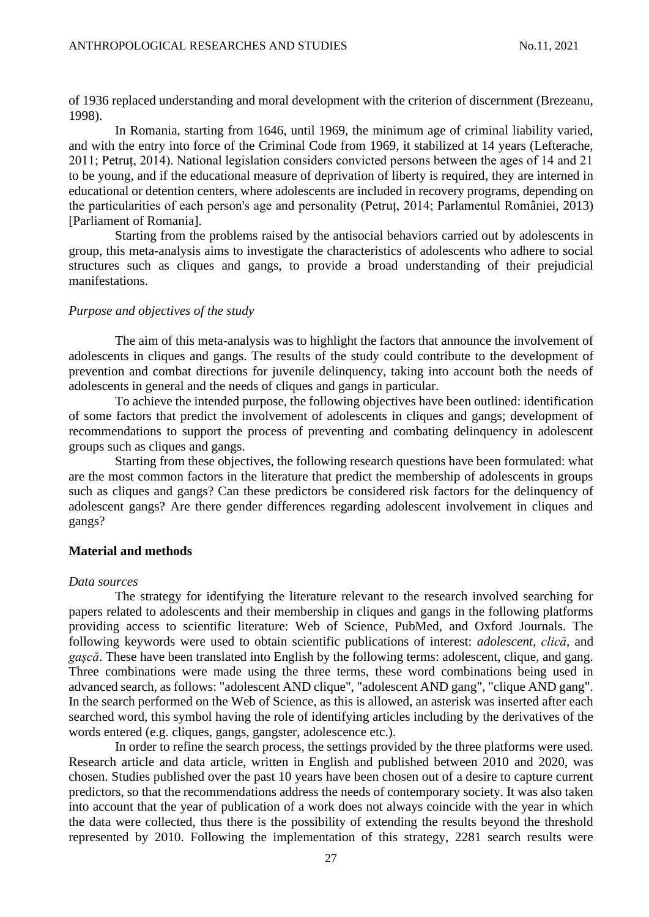of 1936 replaced understanding and moral development with the criterion of discernment (Brezeanu, 1998).

In Romania, starting from 1646, until 1969, the minimum age of criminal liability varied, and with the entry into force of the Criminal Code from 1969, it stabilized at 14 years (Lefterache, 2011; Petruț, 2014). National legislation considers convicted persons between the ages of 14 and 21 to be young, and if the educational measure of deprivation of liberty is required, they are interned in educational or detention centers, where adolescents are included in recovery programs, depending on the particularities of each person's age and personality (Petruț, 2014; Parlamentul României, 2013) [Parliament of Romania].

Starting from the problems raised by the antisocial behaviors carried out by adolescents in group, this meta-analysis aims to investigate the characteristics of adolescents who adhere to social structures such as cliques and gangs, to provide a broad understanding of their prejudicial manifestations.

#### *Purpose and objectives of the study*

The aim of this meta-analysis was to highlight the factors that announce the involvement of adolescents in cliques and gangs. The results of the study could contribute to the development of prevention and combat directions for juvenile delinquency, taking into account both the needs of adolescents in general and the needs of cliques and gangs in particular.

To achieve the intended purpose, the following objectives have been outlined: identification of some factors that predict the involvement of adolescents in cliques and gangs; development of recommendations to support the process of preventing and combating delinquency in adolescent groups such as cliques and gangs.

Starting from these objectives, the following research questions have been formulated: what are the most common factors in the literature that predict the membership of adolescents in groups such as cliques and gangs? Can these predictors be considered risk factors for the delinquency of adolescent gangs? Are there gender differences regarding adolescent involvement in cliques and gangs?

## **Material and methods**

#### *Data sources*

The strategy for identifying the literature relevant to the research involved searching for papers related to adolescents and their membership in cliques and gangs in the following platforms providing access to scientific literature: Web of Science, PubMed, and Oxford Journals. The following keywords were used to obtain scientific publications of interest: *adolescent*, *clică*, and *gașcă*. These have been translated into English by the following terms: adolescent, clique, and gang. Three combinations were made using the three terms, these word combinations being used in advanced search, as follows: "adolescent AND clique", "adolescent AND gang", "clique AND gang". In the search performed on the Web of Science, as this is allowed, an asterisk was inserted after each searched word, this symbol having the role of identifying articles including by the derivatives of the words entered (e.g. cliques, gangs, gangster, adolescence etc.).

In order to refine the search process, the settings provided by the three platforms were used. Research article and data article, written in English and published between 2010 and 2020, was chosen. Studies published over the past 10 years have been chosen out of a desire to capture current predictors, so that the recommendations address the needs of contemporary society. It was also taken into account that the year of publication of a work does not always coincide with the year in which the data were collected, thus there is the possibility of extending the results beyond the threshold represented by 2010. Following the implementation of this strategy, 2281 search results were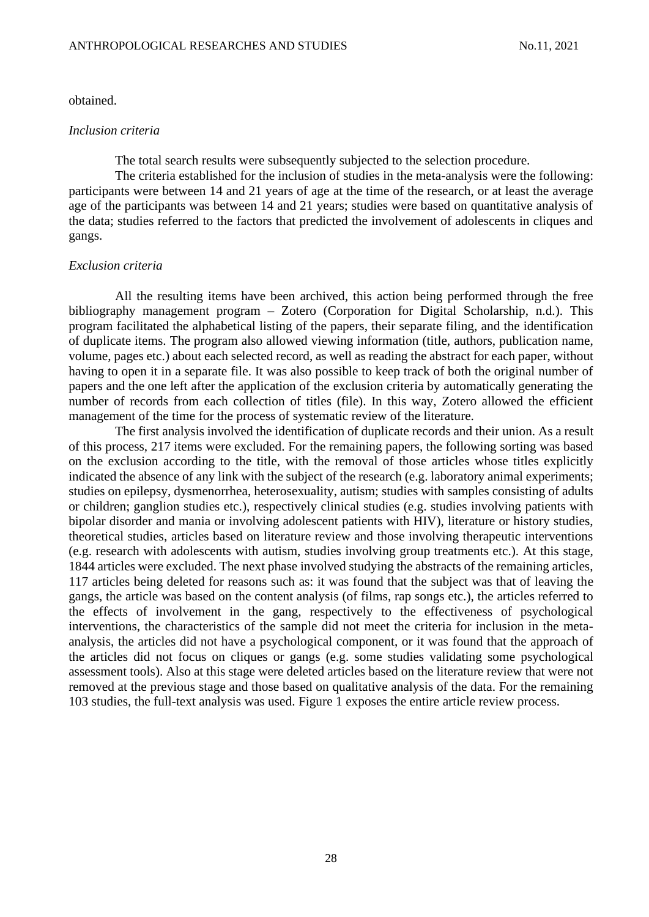#### obtained.

#### *Inclusion criteria*

The total search results were subsequently subjected to the selection procedure.

The criteria established for the inclusion of studies in the meta-analysis were the following: participants were between 14 and 21 years of age at the time of the research, or at least the average age of the participants was between 14 and 21 years; studies were based on quantitative analysis of the data; studies referred to the factors that predicted the involvement of adolescents in cliques and gangs.

#### *Exclusion criteria*

All the resulting items have been archived, this action being performed through the free bibliography management program – Zotero (Corporation for Digital Scholarship, n.d.). This program facilitated the alphabetical listing of the papers, their separate filing, and the identification of duplicate items. The program also allowed viewing information (title, authors, publication name, volume, pages etc.) about each selected record, as well as reading the abstract for each paper, without having to open it in a separate file. It was also possible to keep track of both the original number of papers and the one left after the application of the exclusion criteria by automatically generating the number of records from each collection of titles (file). In this way, Zotero allowed the efficient management of the time for the process of systematic review of the literature.

The first analysis involved the identification of duplicate records and their union. As a result of this process, 217 items were excluded. For the remaining papers, the following sorting was based on the exclusion according to the title, with the removal of those articles whose titles explicitly indicated the absence of any link with the subject of the research (e.g. laboratory animal experiments; studies on epilepsy, dysmenorrhea, heterosexuality, autism; studies with samples consisting of adults or children; ganglion studies etc.), respectively clinical studies (e.g. studies involving patients with bipolar disorder and mania or involving adolescent patients with HIV), literature or history studies, theoretical studies, articles based on literature review and those involving therapeutic interventions (e.g. research with adolescents with autism, studies involving group treatments etc.). At this stage, 1844 articles were excluded. The next phase involved studying the abstracts of the remaining articles, 117 articles being deleted for reasons such as: it was found that the subject was that of leaving the gangs, the article was based on the content analysis (of films, rap songs etc.), the articles referred to the effects of involvement in the gang, respectively to the effectiveness of psychological interventions, the characteristics of the sample did not meet the criteria for inclusion in the metaanalysis, the articles did not have a psychological component, or it was found that the approach of the articles did not focus on cliques or gangs (e.g. some studies validating some psychological assessment tools). Also at this stage were deleted articles based on the literature review that were not removed at the previous stage and those based on qualitative analysis of the data. For the remaining 103 studies, the full-text analysis was used. Figure 1 exposes the entire article review process.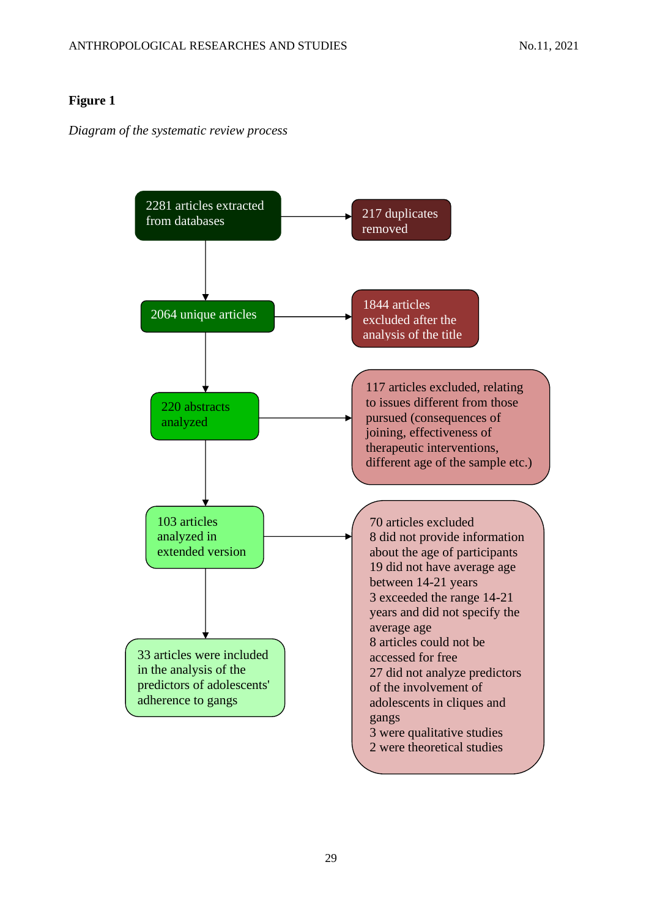# **Figure 1**

*Diagram of the systematic review process*

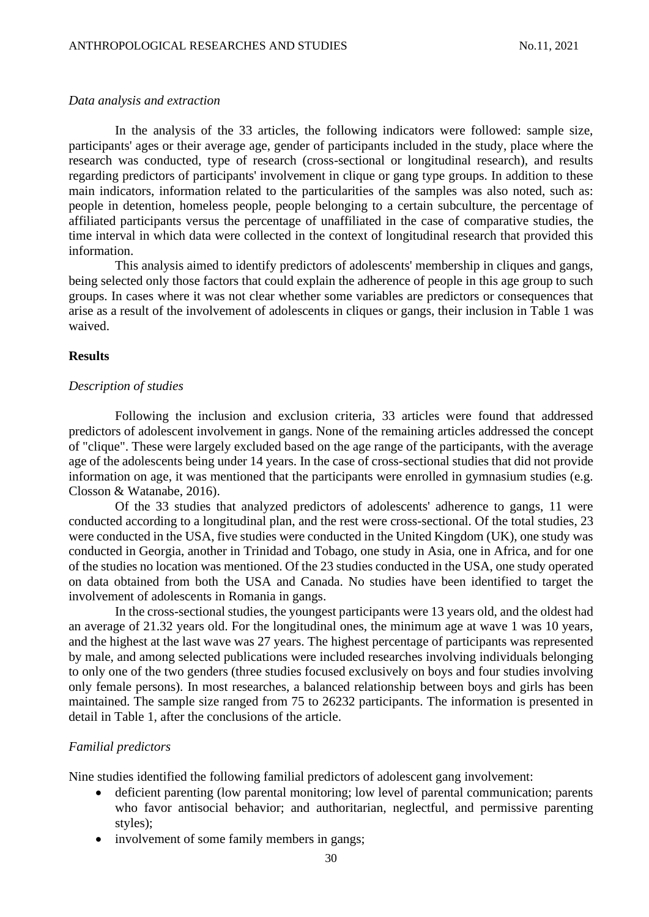## *Data analysis and extraction*

In the analysis of the 33 articles, the following indicators were followed: sample size, participants' ages or their average age, gender of participants included in the study, place where the research was conducted, type of research (cross-sectional or longitudinal research), and results regarding predictors of participants' involvement in clique or gang type groups. In addition to these main indicators, information related to the particularities of the samples was also noted, such as: people in detention, homeless people, people belonging to a certain subculture, the percentage of affiliated participants versus the percentage of unaffiliated in the case of comparative studies, the time interval in which data were collected in the context of longitudinal research that provided this information.

This analysis aimed to identify predictors of adolescents' membership in cliques and gangs, being selected only those factors that could explain the adherence of people in this age group to such groups. In cases where it was not clear whether some variables are predictors or consequences that arise as a result of the involvement of adolescents in cliques or gangs, their inclusion in Table 1 was waived.

## **Results**

## *Description of studies*

Following the inclusion and exclusion criteria, 33 articles were found that addressed predictors of adolescent involvement in gangs. None of the remaining articles addressed the concept of "clique". These were largely excluded based on the age range of the participants, with the average age of the adolescents being under 14 years. In the case of cross-sectional studies that did not provide information on age, it was mentioned that the participants were enrolled in gymnasium studies (e.g. Closson & Watanabe, 2016).

Of the 33 studies that analyzed predictors of adolescents' adherence to gangs, 11 were conducted according to a longitudinal plan, and the rest were cross-sectional. Of the total studies, 23 were conducted in the USA, five studies were conducted in the United Kingdom (UK), one study was conducted in Georgia, another in Trinidad and Tobago, one study in Asia, one in Africa, and for one of the studies no location was mentioned. Of the 23 studies conducted in the USA, one study operated on data obtained from both the USA and Canada. No studies have been identified to target the involvement of adolescents in Romania in gangs.

In the cross-sectional studies, the youngest participants were 13 years old, and the oldest had an average of 21.32 years old. For the longitudinal ones, the minimum age at wave 1 was 10 years, and the highest at the last wave was 27 years. The highest percentage of participants was represented by male, and among selected publications were included researches involving individuals belonging to only one of the two genders (three studies focused exclusively on boys and four studies involving only female persons). In most researches, a balanced relationship between boys and girls has been maintained. The sample size ranged from 75 to 26232 participants. The information is presented in detail in Table 1, after the conclusions of the article.

## *Familial predictors*

Nine studies identified the following familial predictors of adolescent gang involvement:

- deficient parenting (low parental monitoring; low level of parental communication; parents who favor antisocial behavior; and authoritarian, neglectful, and permissive parenting styles);
- involvement of some family members in gangs;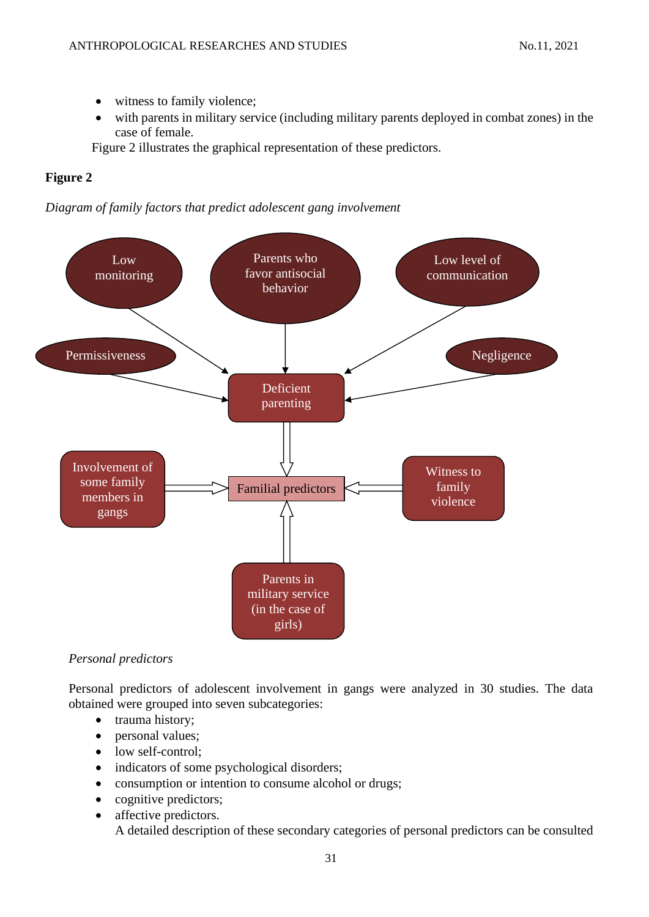- witness to family violence;
- with parents in military service (including military parents deployed in combat zones) in the case of female.

Figure 2 illustrates the graphical representation of these predictors.

# **Figure 2**





# *Personal predictors*

Personal predictors of adolescent involvement in gangs were analyzed in 30 studies. The data obtained were grouped into seven subcategories:

- trauma history;
- personal values;
- low self-control;
- indicators of some psychological disorders;
- consumption or intention to consume alcohol or drugs;
- cognitive predictors;
- affective predictors. A detailed description of these secondary categories of personal predictors can be consulted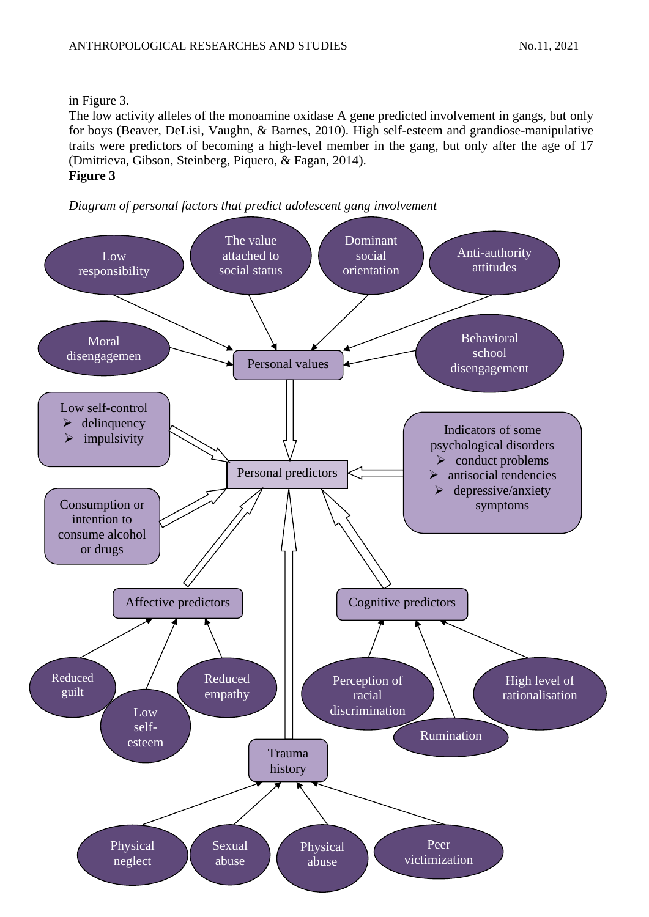## in Figure 3.

The low activity alleles of the monoamine oxidase A gene predicted involvement in gangs, but only for boys (Beaver, DeLisi, Vaughn, & Barnes, 2010). High self-esteem and grandiose-manipulative traits were predictors of becoming a high-level member in the gang, but only after the age of 17 (Dmitrieva, Gibson, Steinberg, Piquero, & Fagan, 2014). **Figure 3**



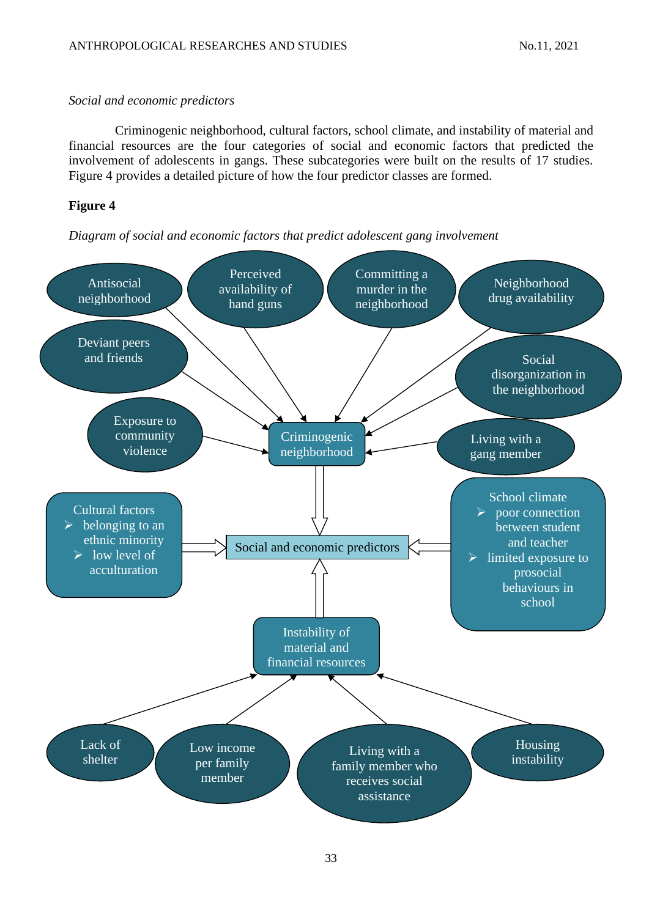## *Social and economic predictors*

Criminogenic neighborhood, cultural factors, school climate, and instability of material and financial resources are the four categories of social and economic factors that predicted the involvement of adolescents in gangs. These subcategories were built on the results of 17 studies. Figure 4 provides a detailed picture of how the four predictor classes are formed.

# **Figure 4**

*Diagram of social and economic factors that predict adolescent gang involvement*

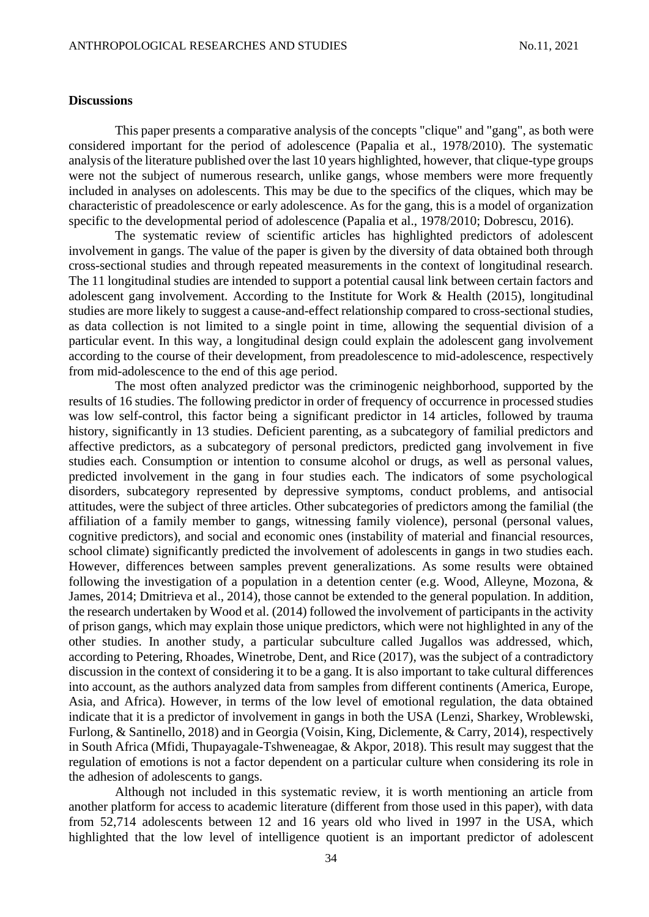#### **Discussions**

This paper presents a comparative analysis of the concepts "clique" and "gang", as both were considered important for the period of adolescence (Papalia et al., 1978/2010). The systematic analysis of the literature published over the last 10 years highlighted, however, that clique-type groups were not the subject of numerous research, unlike gangs, whose members were more frequently included in analyses on adolescents. This may be due to the specifics of the cliques, which may be characteristic of preadolescence or early adolescence. As for the gang, this is a model of organization specific to the developmental period of adolescence (Papalia et al., 1978/2010; Dobrescu, 2016).

The systematic review of scientific articles has highlighted predictors of adolescent involvement in gangs. The value of the paper is given by the diversity of data obtained both through cross-sectional studies and through repeated measurements in the context of longitudinal research. The 11 longitudinal studies are intended to support a potential causal link between certain factors and adolescent gang involvement. According to the Institute for Work & Health (2015), longitudinal studies are more likely to suggest a cause-and-effect relationship compared to cross-sectional studies, as data collection is not limited to a single point in time, allowing the sequential division of a particular event. In this way, a longitudinal design could explain the adolescent gang involvement according to the course of their development, from preadolescence to mid-adolescence, respectively from mid-adolescence to the end of this age period.

The most often analyzed predictor was the criminogenic neighborhood, supported by the results of 16 studies. The following predictor in order of frequency of occurrence in processed studies was low self-control, this factor being a significant predictor in 14 articles, followed by trauma history, significantly in 13 studies. Deficient parenting, as a subcategory of familial predictors and affective predictors, as a subcategory of personal predictors, predicted gang involvement in five studies each. Consumption or intention to consume alcohol or drugs, as well as personal values, predicted involvement in the gang in four studies each. The indicators of some psychological disorders, subcategory represented by depressive symptoms, conduct problems, and antisocial attitudes, were the subject of three articles. Other subcategories of predictors among the familial (the affiliation of a family member to gangs, witnessing family violence), personal (personal values, cognitive predictors), and social and economic ones (instability of material and financial resources, school climate) significantly predicted the involvement of adolescents in gangs in two studies each. However, differences between samples prevent generalizations. As some results were obtained following the investigation of a population in a detention center (e.g. Wood, Alleyne, Mozona, & James, 2014; Dmitrieva et al., 2014), those cannot be extended to the general population. In addition, the research undertaken by Wood et al. (2014) followed the involvement of participants in the activity of prison gangs, which may explain those unique predictors, which were not highlighted in any of the other studies. In another study, a particular subculture called Jugallos was addressed, which, according to Petering, Rhoades, Winetrobe, Dent, and Rice (2017), was the subject of a contradictory discussion in the context of considering it to be a gang. It is also important to take cultural differences into account, as the authors analyzed data from samples from different continents (America, Europe, Asia, and Africa). However, in terms of the low level of emotional regulation, the data obtained indicate that it is a predictor of involvement in gangs in both the USA (Lenzi, Sharkey, Wroblewski, Furlong, & Santinello, 2018) and in Georgia (Voisin, King, Diclemente, & Carry, 2014), respectively in South Africa (Mfidi, Thupayagale-Tshweneagae, & Akpor, 2018). This result may suggest that the regulation of emotions is not a factor dependent on a particular culture when considering its role in the adhesion of adolescents to gangs.

Although not included in this systematic review, it is worth mentioning an article from another platform for access to academic literature (different from those used in this paper), with data from 52,714 adolescents between 12 and 16 years old who lived in 1997 in the USA, which highlighted that the low level of intelligence quotient is an important predictor of adolescent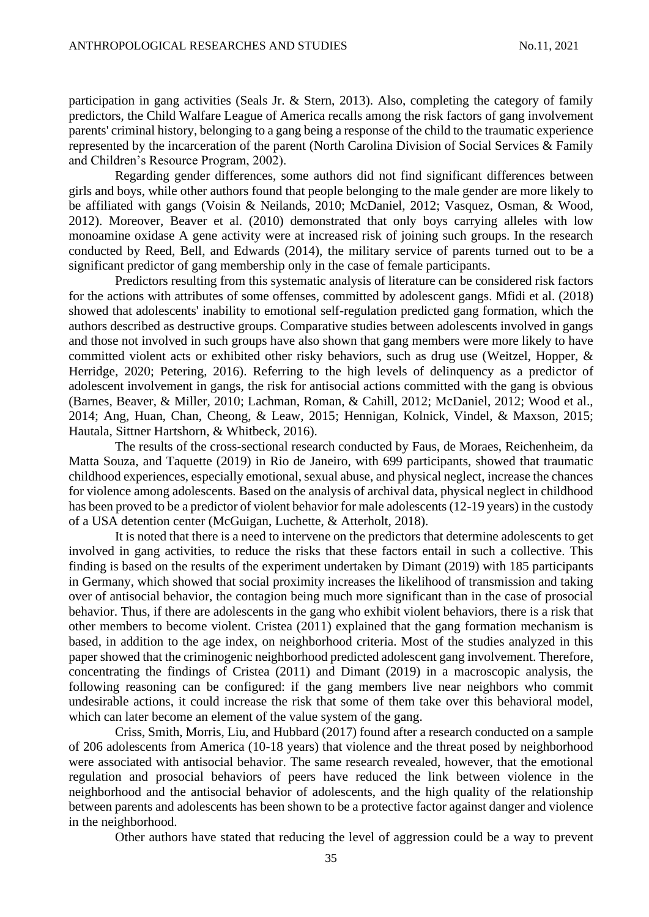participation in gang activities (Seals Jr. & Stern, 2013). Also, completing the category of family predictors, the Child Walfare League of America recalls among the risk factors of gang involvement parents' criminal history, belonging to a gang being a response of the child to the traumatic experience represented by the incarceration of the parent (North Carolina Division of Social Services & Family and Children's Resource Program, 2002).

Regarding gender differences, some authors did not find significant differences between girls and boys, while other authors found that people belonging to the male gender are more likely to be affiliated with gangs (Voisin & Neilands, 2010; McDaniel, 2012; Vasquez, Osman, & Wood, 2012). Moreover, Beaver et al. (2010) demonstrated that only boys carrying alleles with low monoamine oxidase A gene activity were at increased risk of joining such groups. In the research conducted by Reed, Bell, and Edwards (2014), the military service of parents turned out to be a significant predictor of gang membership only in the case of female participants.

Predictors resulting from this systematic analysis of literature can be considered risk factors for the actions with attributes of some offenses, committed by adolescent gangs. Mfidi et al. (2018) showed that adolescents' inability to emotional self-regulation predicted gang formation, which the authors described as destructive groups. Comparative studies between adolescents involved in gangs and those not involved in such groups have also shown that gang members were more likely to have committed violent acts or exhibited other risky behaviors, such as drug use (Weitzel, Hopper, & Herridge, 2020; Petering, 2016). Referring to the high levels of delinquency as a predictor of adolescent involvement in gangs, the risk for antisocial actions committed with the gang is obvious (Barnes, Beaver, & Miller, 2010; Lachman, Roman, & Cahill, 2012; McDaniel, 2012; Wood et al., 2014; Ang, Huan, Chan, Cheong, & Leaw, 2015; Hennigan, Kolnick, Vindel, & Maxson, 2015; Hautala, Sittner Hartshorn, & Whitbeck, 2016).

The results of the cross-sectional research conducted by Faus, de Moraes, Reichenheim, da Matta Souza, and Taquette (2019) in Rio de Janeiro, with 699 participants, showed that traumatic childhood experiences, especially emotional, sexual abuse, and physical neglect, increase the chances for violence among adolescents. Based on the analysis of archival data, physical neglect in childhood has been proved to be a predictor of violent behavior for male adolescents (12-19 years) in the custody of a USA detention center (McGuigan, Luchette, & Atterholt, 2018).

It is noted that there is a need to intervene on the predictors that determine adolescents to get involved in gang activities, to reduce the risks that these factors entail in such a collective. This finding is based on the results of the experiment undertaken by Dimant (2019) with 185 participants in Germany, which showed that social proximity increases the likelihood of transmission and taking over of antisocial behavior, the contagion being much more significant than in the case of prosocial behavior. Thus, if there are adolescents in the gang who exhibit violent behaviors, there is a risk that other members to become violent. Cristea (2011) explained that the gang formation mechanism is based, in addition to the age index, on neighborhood criteria. Most of the studies analyzed in this paper showed that the criminogenic neighborhood predicted adolescent gang involvement. Therefore, concentrating the findings of Cristea (2011) and Dimant (2019) in a macroscopic analysis, the following reasoning can be configured: if the gang members live near neighbors who commit undesirable actions, it could increase the risk that some of them take over this behavioral model, which can later become an element of the value system of the gang.

Criss, Smith, Morris, Liu, and Hubbard (2017) found after a research conducted on a sample of 206 adolescents from America (10-18 years) that violence and the threat posed by neighborhood were associated with antisocial behavior. The same research revealed, however, that the emotional regulation and prosocial behaviors of peers have reduced the link between violence in the neighborhood and the antisocial behavior of adolescents, and the high quality of the relationship between parents and adolescents has been shown to be a protective factor against danger and violence in the neighborhood.

Other authors have stated that reducing the level of aggression could be a way to prevent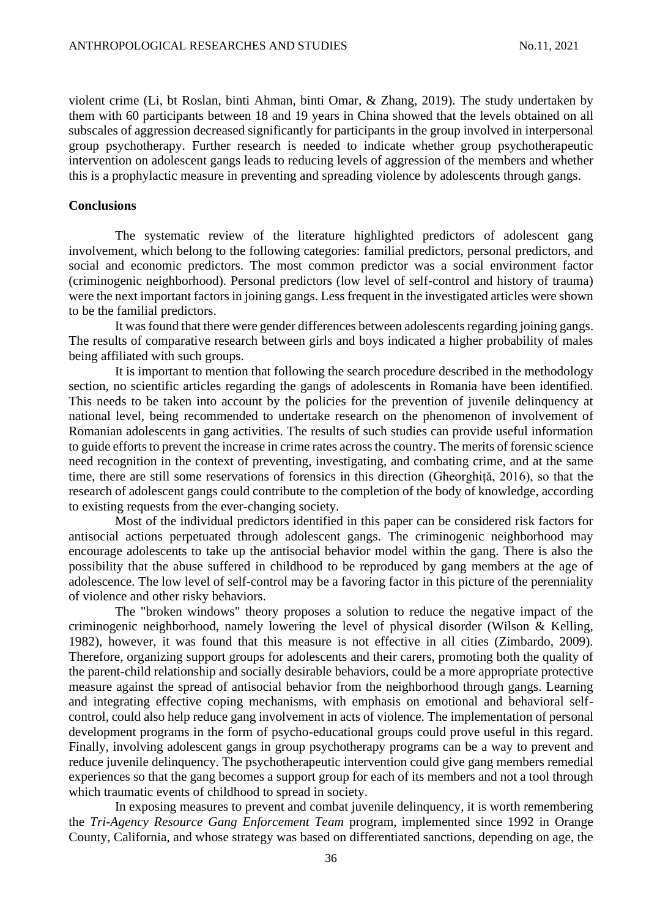violent crime (Li, bt Roslan, binti Ahman, binti Omar, & Zhang, 2019). The study undertaken by them with 60 participants between 18 and 19 years in China showed that the levels obtained on all subscales of aggression decreased significantly for participants in the group involved in interpersonal group psychotherapy. Further research is needed to indicate whether group psychotherapeutic intervention on adolescent gangs leads to reducing levels of aggression of the members and whether this is a prophylactic measure in preventing and spreading violence by adolescents through gangs.

## **Conclusions**

The systematic review of the literature highlighted predictors of adolescent gang involvement, which belong to the following categories: familial predictors, personal predictors, and social and economic predictors. The most common predictor was a social environment factor (criminogenic neighborhood). Personal predictors (low level of self-control and history of trauma) were the next important factors in joining gangs. Less frequent in the investigated articles were shown to be the familial predictors.

It was found that there were gender differences between adolescents regarding joining gangs. The results of comparative research between girls and boys indicated a higher probability of males being affiliated with such groups.

It is important to mention that following the search procedure described in the methodology section, no scientific articles regarding the gangs of adolescents in Romania have been identified. This needs to be taken into account by the policies for the prevention of juvenile delinquency at national level, being recommended to undertake research on the phenomenon of involvement of Romanian adolescents in gang activities. The results of such studies can provide useful information to guide efforts to prevent the increase in crime rates across the country. The merits of forensic science need recognition in the context of preventing, investigating, and combating crime, and at the same time, there are still some reservations of forensics in this direction (Gheorghiță, 2016), so that the research of adolescent gangs could contribute to the completion of the body of knowledge, according to existing requests from the ever-changing society.

Most of the individual predictors identified in this paper can be considered risk factors for antisocial actions perpetuated through adolescent gangs. The criminogenic neighborhood may encourage adolescents to take up the antisocial behavior model within the gang. There is also the possibility that the abuse suffered in childhood to be reproduced by gang members at the age of adolescence. The low level of self-control may be a favoring factor in this picture of the perenniality of violence and other risky behaviors.

The "broken windows" theory proposes a solution to reduce the negative impact of the criminogenic neighborhood, namely lowering the level of physical disorder (Wilson & Kelling, 1982), however, it was found that this measure is not effective in all cities (Zimbardo, 2009). Therefore, organizing support groups for adolescents and their carers, promoting both the quality of the parent-child relationship and socially desirable behaviors, could be a more appropriate protective measure against the spread of antisocial behavior from the neighborhood through gangs. Learning and integrating effective coping mechanisms, with emphasis on emotional and behavioral selfcontrol, could also help reduce gang involvement in acts of violence. The implementation of personal development programs in the form of psycho-educational groups could prove useful in this regard. Finally, involving adolescent gangs in group psychotherapy programs can be a way to prevent and reduce juvenile delinquency. The psychotherapeutic intervention could give gang members remedial experiences so that the gang becomes a support group for each of its members and not a tool through which traumatic events of childhood to spread in society.

In exposing measures to prevent and combat juvenile delinquency, it is worth remembering the *Tri-Agency Resource Gang Enforcement Team* program, implemented since 1992 in Orange County, California, and whose strategy was based on differentiated sanctions, depending on age, the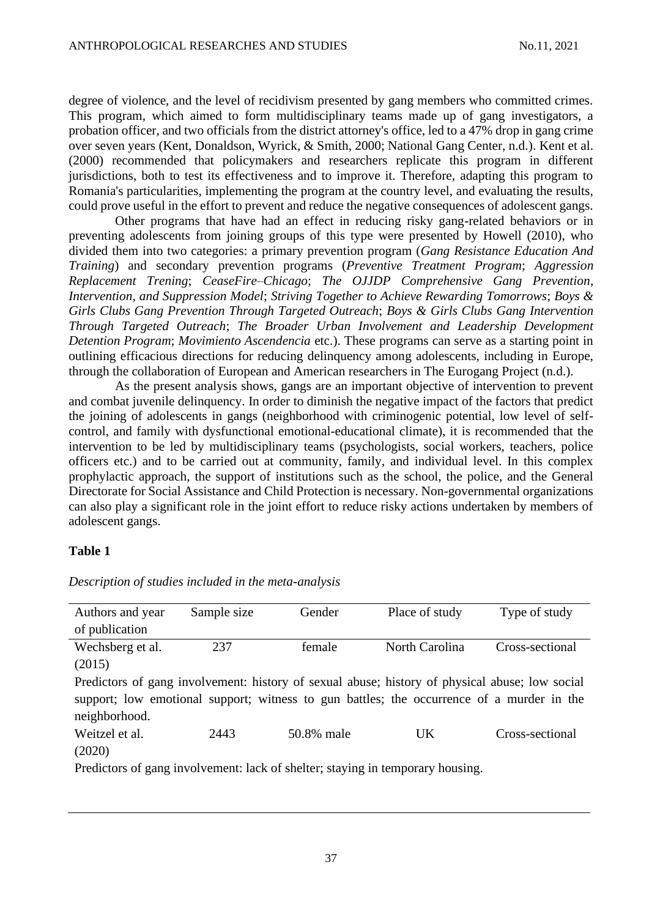degree of violence, and the level of recidivism presented by gang members who committed crimes. This program, which aimed to form multidisciplinary teams made up of gang investigators, a probation officer, and two officials from the district attorney's office, led to a 47% drop in gang crime over seven years (Kent, Donaldson, Wyrick, & Smith, 2000; National Gang Center, n.d.). Kent et al. (2000) recommended that policymakers and researchers replicate this program in different jurisdictions, both to test its effectiveness and to improve it. Therefore, adapting this program to Romania's particularities, implementing the program at the country level, and evaluating the results, could prove useful in the effort to prevent and reduce the negative consequences of adolescent gangs.

Other programs that have had an effect in reducing risky gang-related behaviors or in preventing adolescents from joining groups of this type were presented by Howell (2010), who divided them into two categories: a primary prevention program (*Gang Resistance Education And Training*) and secondary prevention programs (*Preventive Treatment Program*; *Aggression Replacement Trening*; *CeaseFire–Chicago*; *The OJJDP Comprehensive Gang Prevention*, *Intervention, and Suppression Model*; *Striving Together to Achieve Rewarding Tomorrows*; *Boys & Girls Clubs Gang Prevention Through Targeted Outreach*; *Boys & Girls Clubs Gang Intervention Through Targeted Outreach*; *The Broader Urban Involvement and Leadership Development Detention Program*; *Movimiento Ascendencia* etc.). These programs can serve as a starting point in outlining efficacious directions for reducing delinquency among adolescents, including in Europe, through the collaboration of European and American researchers in The Eurogang Project (n.d.).

As the present analysis shows, gangs are an important objective of intervention to prevent and combat juvenile delinquency. In order to diminish the negative impact of the factors that predict the joining of adolescents in gangs (neighborhood with criminogenic potential, low level of selfcontrol, and family with dysfunctional emotional-educational climate), it is recommended that the intervention to be led by multidisciplinary teams (psychologists, social workers, teachers, police officers etc.) and to be carried out at community, family, and individual level. In this complex prophylactic approach, the support of institutions such as the school, the police, and the General Directorate for Social Assistance and Child Protection is necessary. Non-governmental organizations can also play a significant role in the joint effort to reduce risky actions undertaken by members of adolescent gangs.

## **Table 1**

| Authors and year | Sample size | Gender     | Place of study                                                                                 | Type of study   |
|------------------|-------------|------------|------------------------------------------------------------------------------------------------|-----------------|
| of publication   |             |            |                                                                                                |                 |
| Wechsberg et al. | 237         | female     | North Carolina                                                                                 | Cross-sectional |
| (2015)           |             |            |                                                                                                |                 |
|                  |             |            | Predictors of gang involvement: history of sexual abuse; history of physical abuse; low social |                 |
|                  |             |            | support; low emotional support; witness to gun battles; the occurrence of a murder in the      |                 |
| neighborhood.    |             |            |                                                                                                |                 |
| Weitzel et al.   | 2443        | 50.8% male | $_{\rm{IJK}}$                                                                                  | Cross-sectional |
| (2020)           |             |            |                                                                                                |                 |
|                  |             |            | Predictors of gang involvement: lack of shelter; staying in temporary housing.                 |                 |

*Description of studies included in the meta-analysis*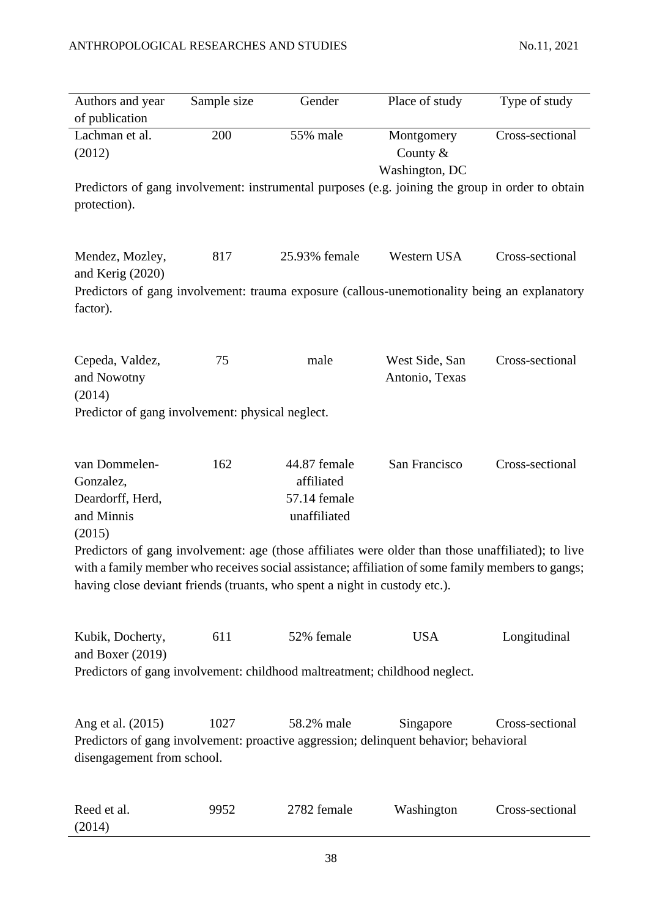| Authors and year<br>of publication                                                                                 | Sample size | Gender                                                     | Place of study                                                                                                                                                                                          | Type of study   |
|--------------------------------------------------------------------------------------------------------------------|-------------|------------------------------------------------------------|---------------------------------------------------------------------------------------------------------------------------------------------------------------------------------------------------------|-----------------|
| Lachman et al.<br>(2012)                                                                                           | 200         | 55% male                                                   | Montgomery<br>County $&$<br>Washington, DC                                                                                                                                                              | Cross-sectional |
| protection).                                                                                                       |             |                                                            | Predictors of gang involvement: instrumental purposes (e.g. joining the group in order to obtain                                                                                                        |                 |
| Mendez, Mozley,<br>and Kerig (2020)<br>factor).                                                                    | 817         | 25.93% female                                              | Western USA<br>Predictors of gang involvement: trauma exposure (callous-unemotionality being an explanatory                                                                                             | Cross-sectional |
| Cepeda, Valdez,<br>and Nowotny<br>(2014)<br>Predictor of gang involvement: physical neglect.                       | 75          | male                                                       | West Side, San<br>Antonio, Texas                                                                                                                                                                        | Cross-sectional |
| van Dommelen-<br>Gonzalez,<br>Deardorff, Herd,<br>and Minnis<br>(2015)                                             | 162         | 44.87 female<br>affiliated<br>57.14 female<br>unaffiliated | San Francisco                                                                                                                                                                                           | Cross-sectional |
| having close deviant friends (truants, who spent a night in custody etc.).                                         |             |                                                            | Predictors of gang involvement: age (those affiliates were older than those unaffiliated); to live<br>with a family member who receives social assistance; affiliation of some family members to gangs; |                 |
| Kubik, Docherty,<br>and Boxer (2019)<br>Predictors of gang involvement: childhood maltreatment; childhood neglect. | 611         | 52% female                                                 | <b>USA</b>                                                                                                                                                                                              | Longitudinal    |
| Ang et al. (2015)<br>disengagement from school.                                                                    | 1027        | 58.2% male                                                 | Singapore<br>Predictors of gang involvement: proactive aggression; delinquent behavior; behavioral                                                                                                      | Cross-sectional |
| Reed et al.<br>(2014)                                                                                              | 9952        | 2782 female                                                | Washington                                                                                                                                                                                              | Cross-sectional |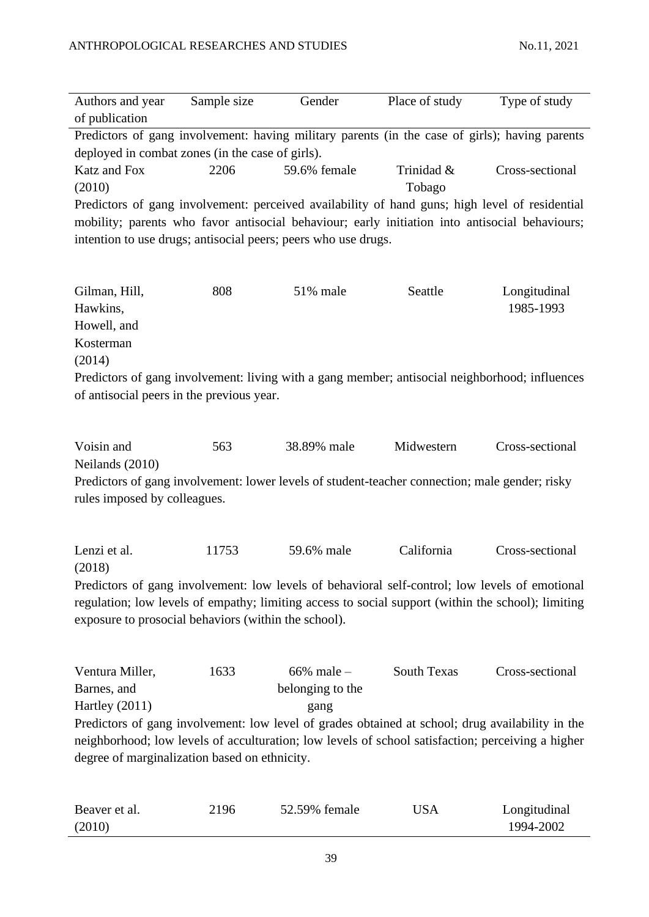| Authors and year<br>of publication                                                                                                                                                                                                                           | Sample size | Gender                                                                                                                                                                                                                                                             | Place of study       | Type of study             |  |
|--------------------------------------------------------------------------------------------------------------------------------------------------------------------------------------------------------------------------------------------------------------|-------------|--------------------------------------------------------------------------------------------------------------------------------------------------------------------------------------------------------------------------------------------------------------------|----------------------|---------------------------|--|
|                                                                                                                                                                                                                                                              |             | Predictors of gang involvement: having military parents (in the case of girls); having parents                                                                                                                                                                     |                      |                           |  |
| deployed in combat zones (in the case of girls).                                                                                                                                                                                                             |             |                                                                                                                                                                                                                                                                    |                      |                           |  |
| Katz and Fox<br>(2010)                                                                                                                                                                                                                                       | 2206        | 59.6% female                                                                                                                                                                                                                                                       | Trinidad &<br>Tobago | Cross-sectional           |  |
|                                                                                                                                                                                                                                                              |             | Predictors of gang involvement: perceived availability of hand guns; high level of residential<br>mobility; parents who favor antisocial behaviour; early initiation into antisocial behaviours;<br>intention to use drugs; antisocial peers; peers who use drugs. |                      |                           |  |
| Gilman, Hill,<br>Hawkins,<br>Howell, and<br>Kosterman<br>(2014)                                                                                                                                                                                              | 808         | 51% male                                                                                                                                                                                                                                                           | Seattle              | Longitudinal<br>1985-1993 |  |
| of antisocial peers in the previous year.                                                                                                                                                                                                                    |             | Predictors of gang involvement: living with a gang member; antisocial neighborhood; influences                                                                                                                                                                     |                      |                           |  |
| Voisin and<br>Neilands (2010)<br>rules imposed by colleagues.                                                                                                                                                                                                | 563         | 38.89% male<br>Predictors of gang involvement: lower levels of student-teacher connection; male gender; risky                                                                                                                                                      | Midwestern           | Cross-sectional           |  |
| Lenzi et al.<br>(2018)                                                                                                                                                                                                                                       | 11753       | 59.6% male                                                                                                                                                                                                                                                         | California           | Cross-sectional           |  |
| Predictors of gang involvement: low levels of behavioral self-control; low levels of emotional<br>regulation; low levels of empathy; limiting access to social support (within the school); limiting<br>exposure to prosocial behaviors (within the school). |             |                                                                                                                                                                                                                                                                    |                      |                           |  |
| Ventura Miller,<br>Barnes, and<br>Hartley $(2011)$                                                                                                                                                                                                           | 1633        | $66\%$ male $-$<br>belonging to the<br>gang                                                                                                                                                                                                                        | South Texas          | Cross-sectional           |  |
| degree of marginalization based on ethnicity.                                                                                                                                                                                                                |             | Predictors of gang involvement: low level of grades obtained at school; drug availability in the<br>neighborhood; low levels of acculturation; low levels of school satisfaction; perceiving a higher                                                              |                      |                           |  |

| Beaver et al. | 2196 | 52.59% female | USA | Longitudinal |
|---------------|------|---------------|-----|--------------|
| (2010)        |      |               |     | 1994-2002    |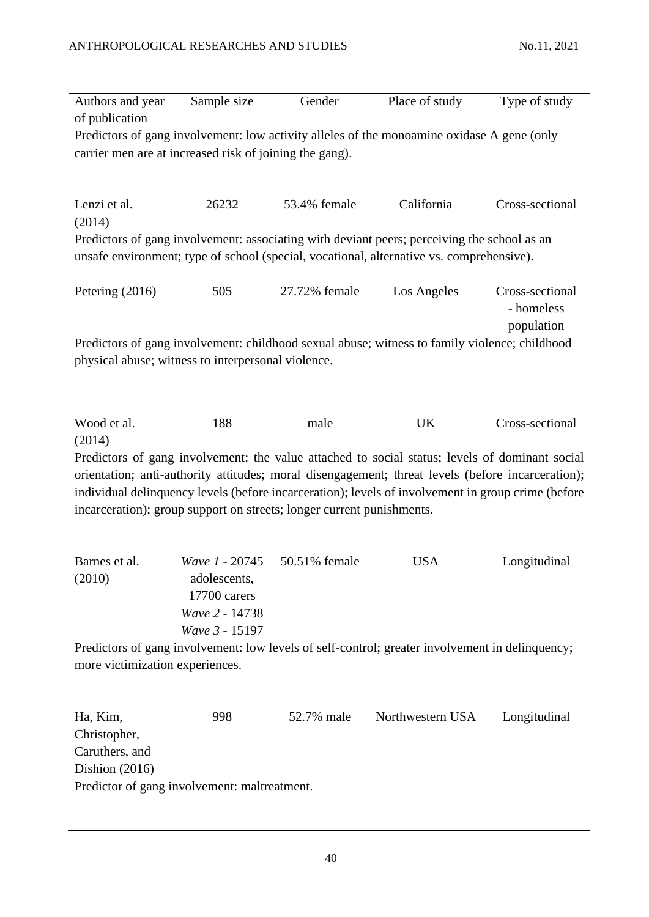| Authors and year<br>of publication                                              | Sample size                                                                        | Gender        | Place of study                                                                                                                                                                                                                                                                                            | Type of study                               |
|---------------------------------------------------------------------------------|------------------------------------------------------------------------------------|---------------|-----------------------------------------------------------------------------------------------------------------------------------------------------------------------------------------------------------------------------------------------------------------------------------------------------------|---------------------------------------------|
| carrier men are at increased risk of joining the gang).                         |                                                                                    |               | Predictors of gang involvement: low activity alleles of the monoamine oxidase A gene (only                                                                                                                                                                                                                |                                             |
| Lenzi et al.<br>(2014)                                                          | 26232                                                                              | 53.4% female  | California                                                                                                                                                                                                                                                                                                | Cross-sectional                             |
|                                                                                 |                                                                                    |               | Predictors of gang involvement: associating with deviant peers; perceiving the school as an<br>unsafe environment; type of school (special, vocational, alternative vs. comprehensive).                                                                                                                   |                                             |
| Petering (2016)                                                                 | 505                                                                                | 27.72% female | Los Angeles                                                                                                                                                                                                                                                                                               | Cross-sectional<br>- homeless<br>population |
| physical abuse; witness to interpersonal violence.                              |                                                                                    |               | Predictors of gang involvement: childhood sexual abuse; witness to family violence; childhood                                                                                                                                                                                                             |                                             |
| Wood et al.                                                                     | 188                                                                                | male          | <b>UK</b>                                                                                                                                                                                                                                                                                                 | Cross-sectional                             |
| (2014)<br>incarceration); group support on streets; longer current punishments. |                                                                                    |               | Predictors of gang involvement: the value attached to social status; levels of dominant social<br>orientation; anti-authority attitudes; moral disengagement; threat levels (before incarceration);<br>individual delinquency levels (before incarceration); levels of involvement in group crime (before |                                             |
| Barnes et al.<br>(2010)                                                         | Wave 1 - 20745<br>adolescents,<br>17700 carers<br>Wave 2 - 14738<br>Wave 3 - 15197 | 50.51% female | <b>USA</b>                                                                                                                                                                                                                                                                                                | Longitudinal                                |
| more victimization experiences.                                                 |                                                                                    |               | Predictors of gang involvement: low levels of self-control; greater involvement in delinquency;                                                                                                                                                                                                           |                                             |
| Ha, Kim,<br>Christopher,                                                        | 998                                                                                | 52.7% male    | Northwestern USA                                                                                                                                                                                                                                                                                          | Longitudinal                                |

Caruthers, and Dishion (2016) Predictor of gang involvement: maltreatment.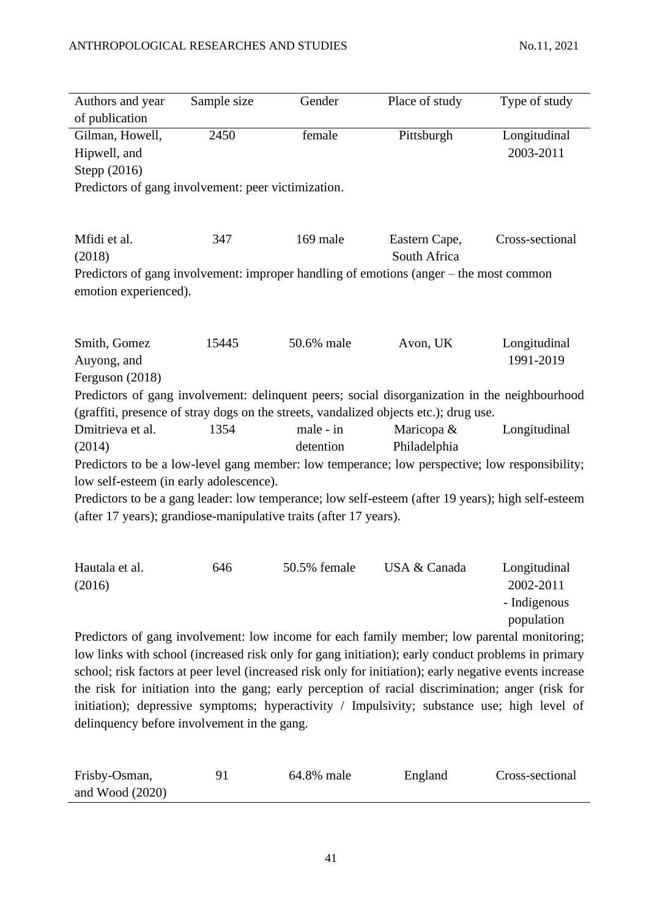| Authors and year                                                  | Sample size | Gender       | Place of study                                                                                                                                                                                               | Type of study             |
|-------------------------------------------------------------------|-------------|--------------|--------------------------------------------------------------------------------------------------------------------------------------------------------------------------------------------------------------|---------------------------|
| of publication                                                    |             |              |                                                                                                                                                                                                              |                           |
| Gilman, Howell,<br>Hipwell, and<br>Stepp (2016)                   | 2450        | female       | Pittsburgh                                                                                                                                                                                                   | Longitudinal<br>2003-2011 |
| Predictors of gang involvement: peer victimization.               |             |              |                                                                                                                                                                                                              |                           |
|                                                                   |             |              |                                                                                                                                                                                                              |                           |
| Mfidi et al.<br>(2018)                                            | 347         | 169 male     | Eastern Cape,<br>South Africa                                                                                                                                                                                | Cross-sectional           |
| emotion experienced).                                             |             |              | Predictors of gang involvement: improper handling of emotions (anger - the most common                                                                                                                       |                           |
|                                                                   |             |              |                                                                                                                                                                                                              |                           |
| Smith, Gomez                                                      | 15445       | 50.6% male   | Avon, UK                                                                                                                                                                                                     | Longitudinal              |
| Auyong, and                                                       |             |              |                                                                                                                                                                                                              | 1991-2019                 |
| Ferguson (2018)                                                   |             |              | Predictors of gang involvement: delinquent peers; social disorganization in the neighbourhood                                                                                                                |                           |
|                                                                   |             |              | (graffiti, presence of stray dogs on the streets, vandalized objects etc.); drug use.                                                                                                                        |                           |
| Dmitrieva et al.                                                  | 1354        | male - in    | Maricopa &                                                                                                                                                                                                   | Longitudinal              |
| (2014)                                                            |             | detention    | Philadelphia                                                                                                                                                                                                 |                           |
| low self-esteem (in early adolescence).                           |             |              | Predictors to be a low-level gang member: low temperance; low perspective; low responsibility;                                                                                                               |                           |
|                                                                   |             |              | Predictors to be a gang leader: low temperance; low self-esteem (after 19 years); high self-esteem                                                                                                           |                           |
| (after 17 years); grandiose-manipulative traits (after 17 years). |             |              |                                                                                                                                                                                                              |                           |
|                                                                   |             |              |                                                                                                                                                                                                              |                           |
| Hautala et al.<br>(2016)                                          | 646         | 50.5% female | USA & Canada                                                                                                                                                                                                 | Longitudinal<br>2002-2011 |
|                                                                   |             |              |                                                                                                                                                                                                              | - Indigenous              |
|                                                                   |             |              |                                                                                                                                                                                                              | population                |
|                                                                   |             |              | Predictors of gang involvement: low income for each family member; low parental monitoring;                                                                                                                  |                           |
|                                                                   |             |              | low links with school (increased risk only for gang initiation); early conduct problems in primary                                                                                                           |                           |
|                                                                   |             |              | school; risk factors at peer level (increased risk only for initiation); early negative events increase<br>the risk for initiation into the gang; early perception of racial discrimination; anger (risk for |                           |
|                                                                   |             |              | initiation); depressive symptoms; hyperactivity / Impulsivity; substance use; high level of                                                                                                                  |                           |

| Frisby-Osman,     | 64.8% male | England | Cross-sectional |
|-------------------|------------|---------|-----------------|
| and Wood $(2020)$ |            |         |                 |

delinquency before involvement in the gang.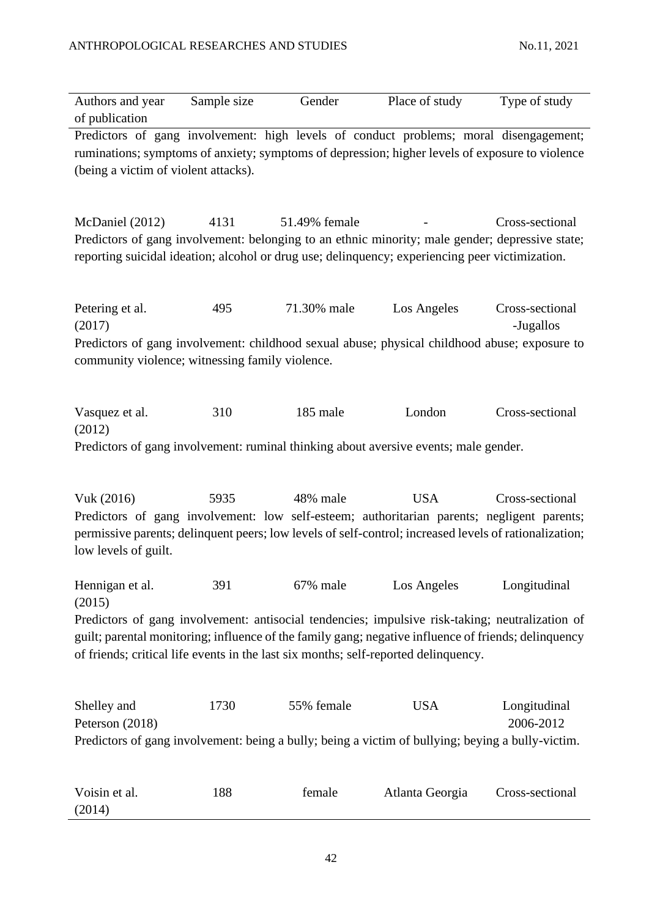| Authors and year<br>of publication                                           | Sample size | Gender        | Place of study                                                                                                                                                                                                                                                                                                | Type of study                |
|------------------------------------------------------------------------------|-------------|---------------|---------------------------------------------------------------------------------------------------------------------------------------------------------------------------------------------------------------------------------------------------------------------------------------------------------------|------------------------------|
| (being a victim of violent attacks).                                         |             |               | Predictors of gang involvement: high levels of conduct problems; moral disengagement;<br>ruminations; symptoms of anxiety; symptoms of depression; higher levels of exposure to violence                                                                                                                      |                              |
| McDaniel (2012)                                                              | 4131        | 51.49% female | Predictors of gang involvement: belonging to an ethnic minority; male gender; depressive state;<br>reporting suicidal ideation; alcohol or drug use; delinquency; experiencing peer victimization.                                                                                                            | Cross-sectional              |
| Petering et al.<br>(2017)<br>community violence; witnessing family violence. | 495         | 71.30% male   | Los Angeles<br>Predictors of gang involvement: childhood sexual abuse; physical childhood abuse; exposure to                                                                                                                                                                                                  | Cross-sectional<br>-Jugallos |
| Vasquez et al.<br>(2012)                                                     | 310         | 185 male      | London<br>Predictors of gang involvement: ruminal thinking about aversive events; male gender.                                                                                                                                                                                                                | Cross-sectional              |
| Vuk (2016)<br>low levels of guilt.                                           | 5935        | 48% male      | <b>USA</b><br>Predictors of gang involvement: low self-esteem; authoritarian parents; negligent parents;<br>permissive parents; delinquent peers; low levels of self-control; increased levels of rationalization;                                                                                            | Cross-sectional              |
| Hennigan et al.<br>(2015)                                                    | 391         | 67% male      | Los Angeles<br>Predictors of gang involvement: antisocial tendencies; impulsive risk-taking; neutralization of<br>guilt; parental monitoring; influence of the family gang; negative influence of friends; delinquency<br>of friends; critical life events in the last six months; self-reported delinquency. | Longitudinal                 |
| Shelley and<br>Peterson (2018)                                               | 1730        | 55% female    | <b>USA</b><br>Predictors of gang involvement: being a bully; being a victim of bullying; beying a bully-victim.                                                                                                                                                                                               | Longitudinal<br>2006-2012    |
| Voisin et al.<br>(2014)                                                      | 188         | female        | Atlanta Georgia                                                                                                                                                                                                                                                                                               | Cross-sectional              |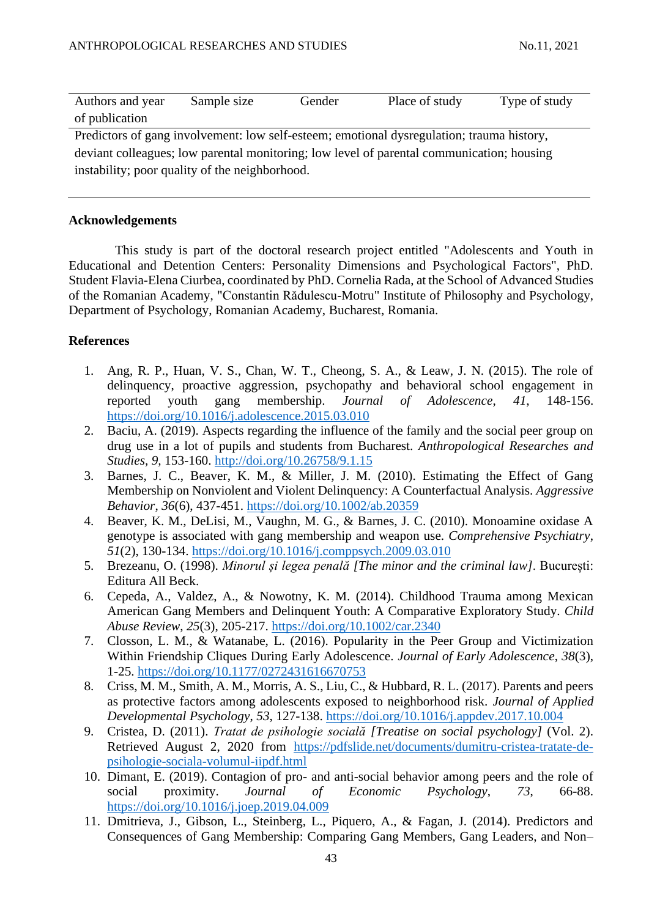| Authors and year                                                                          | Sample size | Gender | Place of study | Type of study |  |
|-------------------------------------------------------------------------------------------|-------------|--------|----------------|---------------|--|
| of publication                                                                            |             |        |                |               |  |
| Predictors of gang involvement: low self-esteem; emotional dysregulation; trauma history, |             |        |                |               |  |
| deviant colleagues; low parental monitoring; low level of parental communication; housing |             |        |                |               |  |
| instability; poor quality of the neighborhood.                                            |             |        |                |               |  |

## **Acknowledgements**

This study is part of the doctoral research project entitled "Adolescents and Youth in Educational and Detention Centers: Personality Dimensions and Psychological Factors", PhD. Student Flavia-Elena Ciurbea, coordinated by PhD. Cornelia Rada, at the School of Advanced Studies of the Romanian Academy, "Constantin Rădulescu-Motru" Institute of Philosophy and Psychology, Department of Psychology, Romanian Academy, Bucharest, Romania.

## **References**

- 1. Ang, R. P., Huan, V. S., Chan, W. T., Cheong, S. A., & Leaw, J. N. (2015). The role of delinquency, proactive aggression, psychopathy and behavioral school engagement in reported youth gang membership. *Journal of Adolescence*, *41*, 148-156. <https://doi.org/10.1016/j.adolescence.2015.03.010>
- 2. Baciu, A. (2019). Aspects regarding the influence of the family and the social peer group on drug use in a lot of pupils and students from Bucharest. *Anthropological Researches and Studies, 9,* 153-160.<http://doi.org/10.26758/9.1.15>
- 3. Barnes, J. C., Beaver, K. M., & Miller, J. M. (2010). Estimating the Effect of Gang Membership on Nonviolent and Violent Delinquency: A Counterfactual Analysis. *Aggressive Behavior*, *36*(6), 437-451.<https://doi.org/10.1002/ab.20359>
- 4. Beaver, K. M., DeLisi, M., Vaughn, M. G., & Barnes, J. C. (2010). Monoamine oxidase A genotype is associated with gang membership and weapon use. *Comprehensive Psychiatry*, *51*(2), 130-134.<https://doi.org/10.1016/j.comppsych.2009.03.010>
- 5. Brezeanu, O. (1998). *Minorul și legea penală [The minor and the criminal law]*. București: Editura All Beck.
- 6. Cepeda, A., Valdez, A., & Nowotny, K. M. (2014). Childhood Trauma among Mexican American Gang Members and Delinquent Youth: A Comparative Exploratory Study. *Child Abuse Review*, *25*(3), 205-217.<https://doi.org/10.1002/car.2340>
- 7. Closson, L. M., & Watanabe, L. (2016). Popularity in the Peer Group and Victimization Within Friendship Cliques During Early Adolescence. *Journal of Early Adolescence*, *38*(3), 1-25.<https://doi.org/10.1177/0272431616670753>
- 8. Criss, M. M., Smith, A. M., Morris, A. S., Liu, C., & Hubbard, R. L. (2017). Parents and peers as protective factors among adolescents exposed to neighborhood risk. *Journal of Applied Developmental Psychology*, *53*, 127-138.<https://doi.org/10.1016/j.appdev.2017.10.004>
- 9. Cristea, D. (2011). *Tratat de psihologie socială [Treatise on social psychology]* (Vol. 2). Retrieved August 2, 2020 from [https://pdfslide.net/documents/dumitru-cristea-tratate-de](https://pdfslide.net/documents/dumitru-cristea-tratate-de-psihologie-sociala-volumul-iipdf.html)[psihologie-sociala-volumul-iipdf.html](https://pdfslide.net/documents/dumitru-cristea-tratate-de-psihologie-sociala-volumul-iipdf.html)
- 10. Dimant, E. (2019). Contagion of pro- and anti-social behavior among peers and the role of social proximity. *Journal of Economic Psychology*, *73*, 66-88. <https://doi.org/10.1016/j.joep.2019.04.009>
- 11. Dmitrieva, J., Gibson, L., Steinberg, L., Piquero, A., & Fagan, J. (2014). Predictors and Consequences of Gang Membership: Comparing Gang Members, Gang Leaders, and Non–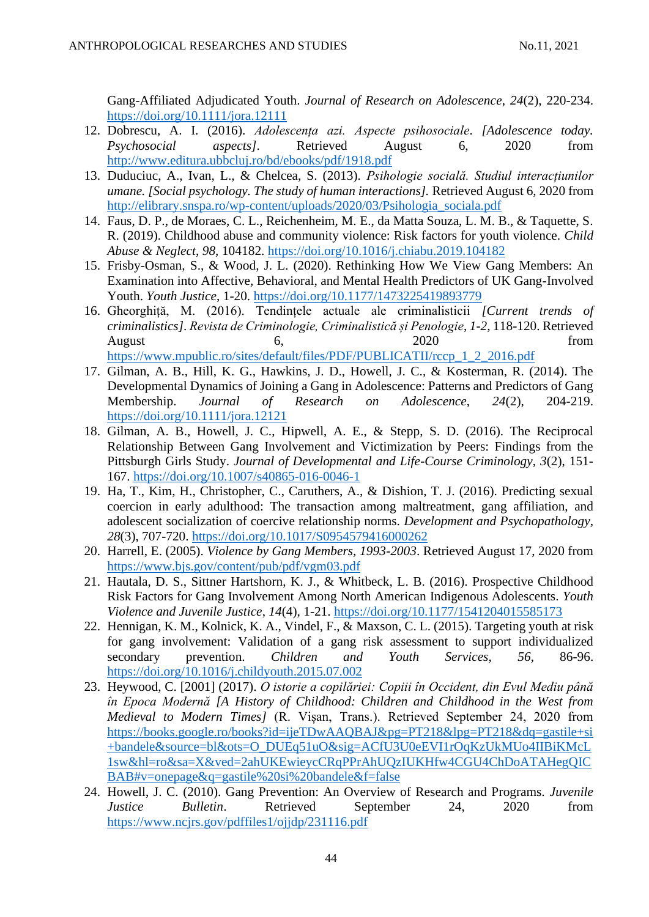Gang-Affiliated Adjudicated Youth. *Journal of Research on Adolescence*, *24*(2), 220-234. <https://doi.org/10.1111/jora.12111>

- 12. Dobrescu, A. I. (2016). *Adolescența azi. Aspecte psihosociale*. *[Adolescence today. Psychosocial aspects]*. Retrieved August 6, 2020 from <http://www.editura.ubbcluj.ro/bd/ebooks/pdf/1918.pdf>
- 13. Duduciuc, A., Ivan, L., & Chelcea, S. (2013). *Psihologie socială. Studiul interacțiunilor umane. [Social psychology. The study of human interactions].* Retrieved August 6, 2020 from [http://elibrary.snspa.ro/wp-content/uploads/2020/03/Psihologia\\_sociala.pdf](http://elibrary.snspa.ro/wp-content/uploads/2020/03/Psihologia_sociala.pdf)
- 14. Faus, D. P., de Moraes, C. L., Reichenheim, M. E., da Matta Souza, L. M. B., & Taquette, S. R. (2019). Childhood abuse and community violence: Risk factors for youth violence. *Child Abuse & Neglect*, *98*, 104182.<https://doi.org/10.1016/j.chiabu.2019.104182>
- 15. Frisby-Osman, S., & Wood, J. L. (2020). Rethinking How We View Gang Members: An Examination into Affective, Behavioral, and Mental Health Predictors of UK Gang-Involved Youth. *Youth Justice*, 1-20.<https://doi.org/10.1177/1473225419893779>
- 16. Gheorghiță, M. (2016). Tendințele actuale ale criminalisticii *[Current trends of criminalistics]*. *Revista de Criminologie, Criminalistică și Penologie*, *1-2*, 118-120. Retrieved August 6, 2020 from [https://www.mpublic.ro/sites/default/files/PDF/PUBLICATII/rccp\\_1\\_2\\_2016.pdf](https://www.mpublic.ro/sites/default/files/PDF/PUBLICATII/rccp_1_2_2016.pdf)
- 17. Gilman, A. B., Hill, K. G., Hawkins, J. D., Howell, J. C., & Kosterman, R. (2014). The Developmental Dynamics of Joining a Gang in Adolescence: Patterns and Predictors of Gang Membership. *Journal of Research on Adolescence*, *24*(2), 204-219. <https://doi.org/10.1111/jora.12121>
- 18. Gilman, A. B., Howell, J. C., Hipwell, A. E., & Stepp, S. D. (2016). The Reciprocal Relationship Between Gang Involvement and Victimization by Peers: Findings from the Pittsburgh Girls Study. *Journal of Developmental and Life-Course Criminology*, *3*(2), 151- 167.<https://doi.org/10.1007/s40865-016-0046-1>
- 19. Ha, T., Kim, H., Christopher, C., Caruthers, A., & Dishion, T. J. (2016). Predicting sexual coercion in early adulthood: The transaction among maltreatment, gang affiliation, and adolescent socialization of coercive relationship norms. *Development and Psychopathology*, *28*(3), 707-720.<https://doi.org/10.1017/S0954579416000262>
- 20. Harrell, E. (2005). *Violence by Gang Members, 1993-2003*. Retrieved August 17, 2020 from <https://www.bjs.gov/content/pub/pdf/vgm03.pdf>
- 21. Hautala, D. S., Sittner Hartshorn, K. J., & Whitbeck, L. B. (2016). Prospective Childhood Risk Factors for Gang Involvement Among North American Indigenous Adolescents. *Youth Violence and Juvenile Justice*, *14*(4), 1-21.<https://doi.org/10.1177/1541204015585173>
- 22. Hennigan, K. M., Kolnick, K. A., Vindel, F., & Maxson, C. L. (2015). Targeting youth at risk for gang involvement: Validation of a gang risk assessment to support individualized secondary prevention. *Children and Youth Services*, *56*, 86-96. <https://doi.org/10.1016/j.childyouth.2015.07.002>
- 23. Heywood, C. [2001] (2017). *O istorie a copilăriei: Copiii în Occident, din Evul Mediu până în Epoca Modernă [A History of Childhood: Children and Childhood in the West from Medieval to Modern Times]* (R. Vișan, Trans.). Retrieved September 24, 2020 from [https://books.google.ro/books?id=ijeTDwAAQBAJ&pg=PT218&lpg=PT218&dq=gastile+si](https://books.google.ro/books?id=ijeTDwAAQBAJ&pg=PT218&lpg=PT218&dq=gastile+si+bandele&source=bl&ots=O_DUEq51uO&sig=ACfU3U0eEVI1rOqKzUkMUo4IIBiKMcL1sw&hl=ro&sa=X&ved=2ahUKEwieycCRqPPrAhUQzIUKHfw4CGU4ChDoATAHegQICBAB#v=onepage&q=gastile%20si%20bandele&f=false) [+bandele&source=bl&ots=O\\_DUEq51uO&sig=ACfU3U0eEVI1rOqKzUkMUo4IIBiKMcL](https://books.google.ro/books?id=ijeTDwAAQBAJ&pg=PT218&lpg=PT218&dq=gastile+si+bandele&source=bl&ots=O_DUEq51uO&sig=ACfU3U0eEVI1rOqKzUkMUo4IIBiKMcL1sw&hl=ro&sa=X&ved=2ahUKEwieycCRqPPrAhUQzIUKHfw4CGU4ChDoATAHegQICBAB#v=onepage&q=gastile%20si%20bandele&f=false) [1sw&hl=ro&sa=X&ved=2ahUKEwieycCRqPPrAhUQzIUKHfw4CGU4ChDoATAHegQIC](https://books.google.ro/books?id=ijeTDwAAQBAJ&pg=PT218&lpg=PT218&dq=gastile+si+bandele&source=bl&ots=O_DUEq51uO&sig=ACfU3U0eEVI1rOqKzUkMUo4IIBiKMcL1sw&hl=ro&sa=X&ved=2ahUKEwieycCRqPPrAhUQzIUKHfw4CGU4ChDoATAHegQICBAB#v=onepage&q=gastile%20si%20bandele&f=false) [BAB#v=onepage&q=gastile%20si%20bandele&f=false](https://books.google.ro/books?id=ijeTDwAAQBAJ&pg=PT218&lpg=PT218&dq=gastile+si+bandele&source=bl&ots=O_DUEq51uO&sig=ACfU3U0eEVI1rOqKzUkMUo4IIBiKMcL1sw&hl=ro&sa=X&ved=2ahUKEwieycCRqPPrAhUQzIUKHfw4CGU4ChDoATAHegQICBAB#v=onepage&q=gastile%20si%20bandele&f=false)
- 24. Howell, J. C. (2010). Gang Prevention: An Overview of Research and Programs. *Juvenile Justice Bulletin*. Retrieved September 24, 2020 from <https://www.ncjrs.gov/pdffiles1/ojjdp/231116.pdf>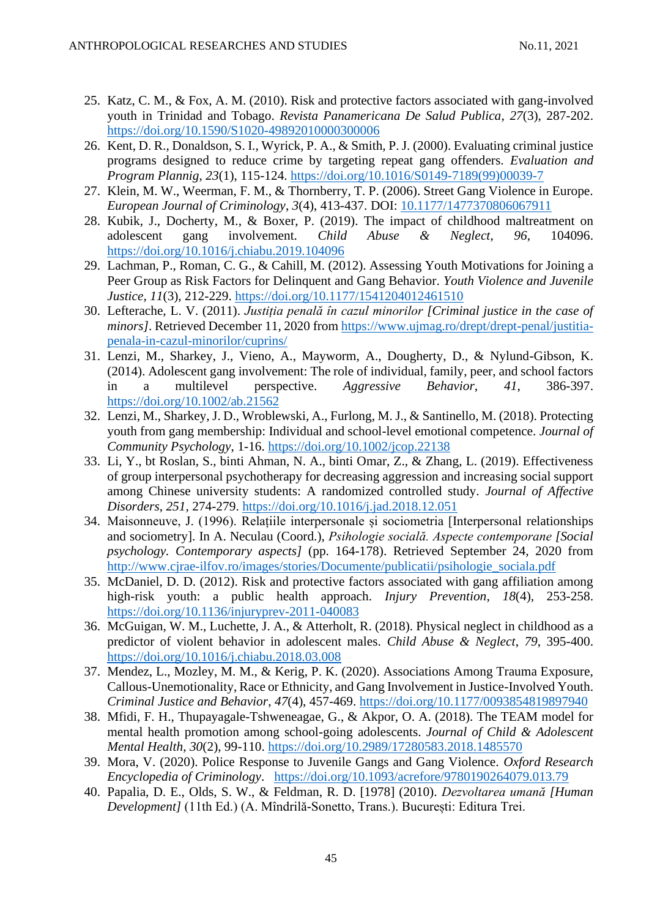- 25. Katz, C. M., & Fox, A. M. (2010). Risk and protective factors associated with gang-involved youth in Trinidad and Tobago. *Revista Panamericana De Salud Publica*, *27*(3), 287-202. <https://doi.org/10.1590/S1020-49892010000300006>
- 26. Kent, D. R., Donaldson, S. I., Wyrick, P. A., & Smith, P. J. (2000). Evaluating criminal justice programs designed to reduce crime by targeting repeat gang offenders. *Evaluation and Program Plannig*, *23*(1), 115-124. [https://doi.org/10.1016/S0149-7189\(99\)00039-7](https://doi.org/10.1016/S0149-7189(99)00039-7)
- 27. Klein, M. W., Weerman, F. M., & Thornberry, T. P. (2006). Street Gang Violence in Europe. *European Journal of Criminology*, *3*(4), 413-437. DOI: [10.1177/1477370806067911](https://www.researchgate.net/deref/http%3A%2F%2Fdx.doi.org%2F10.1177%2F1477370806067911)
- 28. Kubik, J., Docherty, M., & Boxer, P. (2019). The impact of childhood maltreatment on adolescent gang involvement. *Child Abuse & Neglect*, *96*, 104096. <https://doi.org/10.1016/j.chiabu.2019.104096>
- 29. Lachman, P., Roman, C. G., & Cahill, M. (2012). Assessing Youth Motivations for Joining a Peer Group as Risk Factors for Delinquent and Gang Behavior. *Youth Violence and Juvenile Justice*, *11*(3), 212-229. [https://doi.org/10.1177/1541204012461510](https://doi.org/10.1177%2F1541204012461510)
- 30. Lefterache, L. V. (2011). *Justiția penală în cazul minorilor [Criminal justice in the case of minors]*. Retrieved December 11, 2020 from [https://www.ujmag.ro/drept/drept-penal/justitia](https://www.ujmag.ro/drept/drept-penal/justitia-penala-in-cazul-minorilor/cuprins/)[penala-in-cazul-minorilor/cuprins/](https://www.ujmag.ro/drept/drept-penal/justitia-penala-in-cazul-minorilor/cuprins/)
- 31. Lenzi, M., Sharkey, J., Vieno, A., Mayworm, A., Dougherty, D., & Nylund-Gibson, K. (2014). Adolescent gang involvement: The role of individual, family, peer, and school factors in a multilevel perspective. *Aggressive Behavior*, *41*, 386-397. <https://doi.org/10.1002/ab.21562>
- 32. Lenzi, M., Sharkey, J. D., Wroblewski, A., Furlong, M. J., & Santinello, M. (2018). Protecting youth from gang membership: Individual and school-level emotional competence. *Journal of Community Psychology*, 1-16.<https://doi.org/10.1002/jcop.22138>
- 33. Li, Y., bt Roslan, S., binti Ahman, N. A., binti Omar, Z., & Zhang, L. (2019). Effectiveness of group interpersonal psychotherapy for decreasing aggression and increasing social support among Chinese university students: A randomized controlled study. *Journal of Affective Disorders*, *251*, 274-279.<https://doi.org/10.1016/j.jad.2018.12.051>
- 34. Maisonneuve, J. (1996). Relațiile interpersonale și sociometria [Interpersonal relationships and sociometry]. In A. Neculau (Coord.), *Psihologie socială. Aspecte contemporane [Social psychology. Contemporary aspects]* (pp. 164-178). Retrieved September 24, 2020 from [http://www.cjrae-ilfov.ro/images/stories/Documente/publicatii/psihologie\\_sociala.pdf](http://www.cjrae-ilfov.ro/images/stories/Documente/publicatii/psihologie_sociala.pdf)
- 35. McDaniel, D. D. (2012). Risk and protective factors associated with gang affiliation among high-risk youth: a public health approach. *Injury Prevention*, *18*(4), 253-258. <https://doi.org/10.1136/injuryprev-2011-040083>
- 36. McGuigan, W. M., Luchette, J. A., & Atterholt, R. (2018). Physical neglect in childhood as a predictor of violent behavior in adolescent males. *Child Abuse & Neglect*, *79*, 395-400. <https://doi.org/10.1016/j.chiabu.2018.03.008>
- 37. Mendez, L., Mozley, M. M., & Kerig, P. K. (2020). Associations Among Trauma Exposure, Callous-Unemotionality, Race or Ethnicity, and Gang Involvement in Justice-Involved Youth. *Criminal Justice and Behavior*, *47*(4), 457-469. [https://doi.org/10.1177/0093854819897940](https://doi.org/10.1177%2F0093854819897940)
- 38. Mfidi, F. H., Thupayagale-Tshweneagae, G., & Akpor, O. A. (2018). The TEAM model for mental health promotion among school-going adolescents. *Journal of Child & Adolescent Mental Health*, *30*(2), 99-110.<https://doi.org/10.2989/17280583.2018.1485570>
- 39. Mora, V. (2020). Police Response to Juvenile Gangs and Gang Violence. *Oxford Research Encyclopedia of Criminology*. <https://doi.org/10.1093/acrefore/9780190264079.013.79>
- 40. Papalia, D. E., Olds, S. W., & Feldman, R. D. [1978] (2010). *Dezvoltarea umană [Human Development]* (11th Ed.) (A. Mîndrilă-Sonetto, Trans.). București: Editura Trei.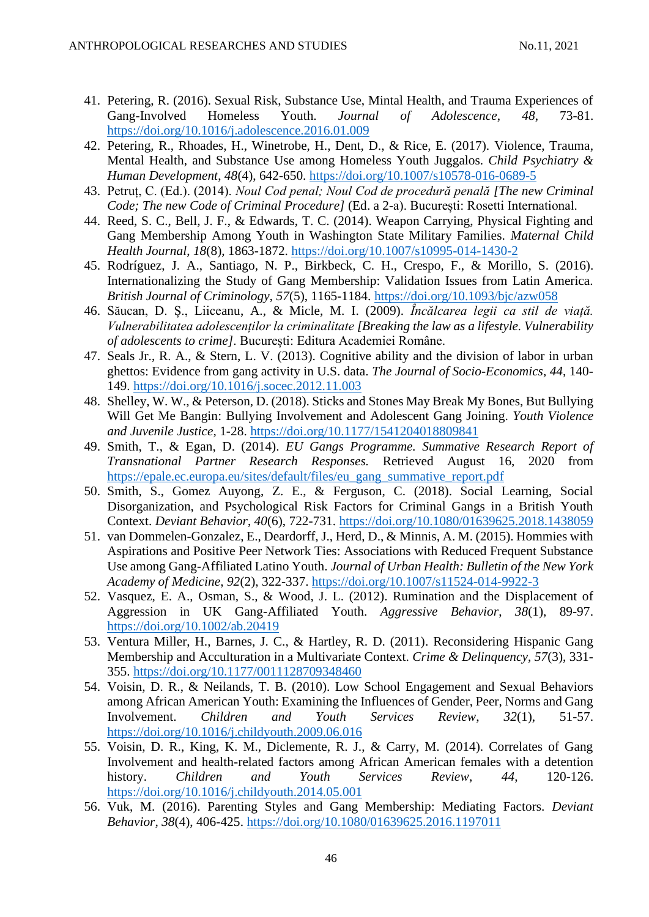- 41. Petering, R. (2016). Sexual Risk, Substance Use, Mintal Health, and Trauma Experiences of Gang-Involved Homeless Youth. *Journal of Adolescence*, *48*, 73-81. <https://doi.org/10.1016/j.adolescence.2016.01.009>
- 42. Petering, R., Rhoades, H., Winetrobe, H., Dent, D., & Rice, E. (2017). Violence, Trauma, Mental Health, and Substance Use among Homeless Youth Juggalos. *Child Psychiatry & Human Development*, *48*(4), 642-650.<https://doi.org/10.1007/s10578-016-0689-5>
- 43. Petruț, C. (Ed.). (2014). *Noul Cod penal; Noul Cod de procedură penală [The new Criminal Code; The new Code of Criminal Procedure]* (Ed. a 2-a). București: Rosetti International.
- 44. Reed, S. C., Bell, J. F., & Edwards, T. C. (2014). Weapon Carrying, Physical Fighting and Gang Membership Among Youth in Washington State Military Families. *Maternal Child Health Journal*, *18*(8), 1863-1872.<https://doi.org/10.1007/s10995-014-1430-2>
- 45. Rodríguez, J. A., Santiago, N. P., Birkbeck, C. H., Crespo, F., & Morillo, S. (2016). Internationalizing the Study of Gang Membership: Validation Issues from Latin America. *British Journal of Criminology*, *57*(5), 1165-1184.<https://doi.org/10.1093/bjc/azw058>
- 46. Săucan, D. Ș., Liiceanu, A., & Micle, M. I. (2009). *Încălcarea legii ca stil de viață. Vulnerabilitatea adolescenților la criminalitate [Breaking the law as a lifestyle. Vulnerability of adolescents to crime]*. București: Editura Academiei Române.
- 47. Seals Jr., R. A., & Stern, L. V. (2013). Cognitive ability and the division of labor in urban ghettos: Evidence from gang activity in U.S. data. *The Journal of Socio-Economics*, *44*, 140- 149.<https://doi.org/10.1016/j.socec.2012.11.003>
- 48. Shelley, W. W., & Peterson, D. (2018). Sticks and Stones May Break My Bones, But Bullying Will Get Me Bangin: Bullying Involvement and Adolescent Gang Joining. *Youth Violence and Juvenile Justice*, 1-28.<https://doi.org/10.1177/1541204018809841>
- 49. Smith, T., & Egan, D. (2014). *EU Gangs Programme. Summative Research Report of Transnational Partner Research Responses.* Retrieved August 16, 2020 from [https://epale.ec.europa.eu/sites/default/files/eu\\_gang\\_summative\\_report.pdf](https://epale.ec.europa.eu/sites/default/files/eu_gang_summative_report.pdf)
- 50. Smith, S., Gomez Auyong, Z. E., & Ferguson, C. (2018). Social Learning, Social Disorganization, and Psychological Risk Factors for Criminal Gangs in a British Youth Context. *Deviant Behavior*, *40*(6), 722-731.<https://doi.org/10.1080/01639625.2018.1438059>
- 51. van Dommelen-Gonzalez, E., Deardorff, J., Herd, D., & Minnis, A. M. (2015). Hommies with Aspirations and Positive Peer Network Ties: Associations with Reduced Frequent Substance Use among Gang-Affiliated Latino Youth. *Journal of Urban Health: Bulletin of the New York Academy of Medicine*, *92*(2), 322-337.<https://doi.org/10.1007/s11524-014-9922-3>
- 52. Vasquez, E. A., Osman, S., & Wood, J. L. (2012). Rumination and the Displacement of Aggression in UK Gang-Affiliated Youth. *Aggressive Behavior*, *38*(1), 89-97. <https://doi.org/10.1002/ab.20419>
- 53. Ventura Miller, H., Barnes, J. C., & Hartley, R. D. (2011). Reconsidering Hispanic Gang Membership and Acculturation in a Multivariate Context. *Crime & Delinquency*, *57*(3), 331- 355.<https://doi.org/10.1177/0011128709348460>
- 54. Voisin, D. R., & Neilands, T. B. (2010). Low School Engagement and Sexual Behaviors among African American Youth: Examining the Influences of Gender, Peer, Norms and Gang Involvement. *Children and Youth Services Review*, *32*(1), 51-57. <https://doi.org/10.1016/j.childyouth.2009.06.016>
- 55. Voisin, D. R., King, K. M., Diclemente, R. J., & Carry, M. (2014). Correlates of Gang Involvement and health-related factors among African American females with a detention history. *Children and Youth Services Review*, *44*, 120-126. <https://doi.org/10.1016/j.childyouth.2014.05.001>
- 56. Vuk, M. (2016). Parenting Styles and Gang Membership: Mediating Factors. *Deviant Behavior*, *38*(4), 406-425.<https://doi.org/10.1080/01639625.2016.1197011>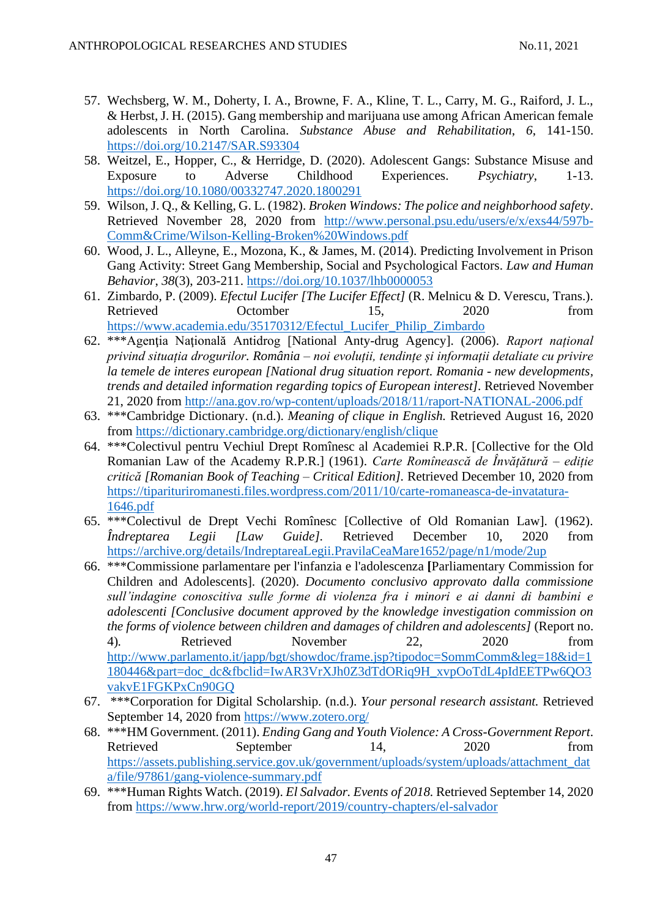- 57. Wechsberg, W. M., Doherty, I. A., Browne, F. A., Kline, T. L., Carry, M. G., Raiford, J. L., & Herbst, J. H. (2015). Gang membership and marijuana use among African American female adolescents in North Carolina. *Substance Abuse and Rehabilitation*, *6*, 141-150. <https://doi.org/10.2147/SAR.S93304>
- 58. Weitzel, E., Hopper, C., & Herridge, D. (2020). Adolescent Gangs: Substance Misuse and Exposure to Adverse Childhood Experiences. *Psychiatry*, 1-13. <https://doi.org/10.1080/00332747.2020.1800291>
- 59. Wilson, J. Q., & Kelling, G. L. (1982). *Broken Windows: The police and neighborhood safety*. Retrieved November 28, 2020 from [http://www.personal.psu.edu/users/e/x/exs44/597b-](http://www.personal.psu.edu/users/e/x/exs44/597b-Comm&Crime/Wilson-Kelling-Broken%20Windows.pdf)[Comm&Crime/Wilson-Kelling-Broken%20Windows.pdf](http://www.personal.psu.edu/users/e/x/exs44/597b-Comm&Crime/Wilson-Kelling-Broken%20Windows.pdf)
- 60. Wood, J. L., Alleyne, E., Mozona, K., & James, M. (2014). Predicting Involvement in Prison Gang Activity: Street Gang Membership, Social and Psychological Factors. *Law and Human Behavior*, *38*(3), 203-211.<https://doi.org/10.1037/lhb0000053>
- 61. Zimbardo, P. (2009). *Efectul Lucifer [The Lucifer Effect]* (R. Melnicu & D. Verescu, Trans.). Retrieved Octomber 15, 2020 from [https://www.academia.edu/35170312/Efectul\\_Lucifer\\_Philip\\_Zimbardo](https://www.academia.edu/35170312/Efectul_Lucifer_Philip_Zimbardo)
- 62. \*\*\*Agenţia Naţională Antidrog [National Anty-drug Agency]. (2006). *Raport național privind situația drogurilor. România – noi evoluții, tendințe și informații detaliate cu privire la temele de interes european [National drug situation report. Romania - new developments, trends and detailed information regarding topics of European interest].* Retrieved November 21, 2020 from <http://ana.gov.ro/wp-content/uploads/2018/11/raport-NATIONAL-2006.pdf>
- 63. \*\*\*Cambridge Dictionary. (n.d.). *Meaning of clique in English.* Retrieved August 16, 2020 from<https://dictionary.cambridge.org/dictionary/english/clique>
- 64. \*\*\*Colectivul pentru Vechiul Drept Romînesc al Academiei R.P.R. [Collective for the Old Romanian Law of the Academy R.P.R.] (1961). *Carte Romînească de Învățătură – ediție critică [Romanian Book of Teaching – Critical Edition].* Retrieved December 10, 2020 from [https://tiparituriromanesti.files.wordpress.com/2011/10/carte-romaneasca-de-invatatura-](https://tiparituriromanesti.files.wordpress.com/2011/10/carte-romaneasca-de-invatatura-1646.pdf)[1646.pdf](https://tiparituriromanesti.files.wordpress.com/2011/10/carte-romaneasca-de-invatatura-1646.pdf)
- 65. \*\*\*Colectivul de Drept Vechi Romînesc [Collective of Old Romanian Law]. (1962). *Îndreptarea Legii [Law Guide].* Retrieved December 10, 2020 from <https://archive.org/details/IndreptareaLegii.PravilaCeaMare1652/page/n1/mode/2up>
- 66. \*\*\*Commissione parlamentare per l'infanzia e l'adolescenza **[**Parliamentary Commission for Children and Adolescents]. (2020). *Documento conclusivo approvato dalla commissione sull'indagine conoscitiva sulle forme di violenza fra i minori e ai danni di bambini e adolescenti [Conclusive document approved by the knowledge investigation commission on the forms of violence between children and damages of children and adolescents]* (Report no. 4)*.* Retrieved November 22, 2020 from [http://www.parlamento.it/japp/bgt/showdoc/frame.jsp?tipodoc=SommComm&leg=18&id=1](http://www.parlamento.it/japp/bgt/showdoc/frame.jsp?tipodoc=SommComm&leg=18&id=1180446&part=doc_dc&fbclid=IwAR3VrXJh0Z3dTdORiq9H_xvpOoTdL4pIdEETPw6QO3vakvE1FGKPxCn90GQ) [180446&part=doc\\_dc&fbclid=IwAR3VrXJh0Z3dTdORiq9H\\_xvpOoTdL4pIdEETPw6QO3](http://www.parlamento.it/japp/bgt/showdoc/frame.jsp?tipodoc=SommComm&leg=18&id=1180446&part=doc_dc&fbclid=IwAR3VrXJh0Z3dTdORiq9H_xvpOoTdL4pIdEETPw6QO3vakvE1FGKPxCn90GQ) [vakvE1FGKPxCn90GQ](http://www.parlamento.it/japp/bgt/showdoc/frame.jsp?tipodoc=SommComm&leg=18&id=1180446&part=doc_dc&fbclid=IwAR3VrXJh0Z3dTdORiq9H_xvpOoTdL4pIdEETPw6QO3vakvE1FGKPxCn90GQ)
- 67. \*\*\*Corporation for Digital Scholarship. (n.d.). *Your personal research assistant.* Retrieved September 14, 2020 from<https://www.zotero.org/>
- 68. \*\*\*HM Government. (2011). *Ending Gang and Youth Violence: A Cross-Government Report*. Retrieved September 14, 2020 from [https://assets.publishing.service.gov.uk/government/uploads/system/uploads/attachment\\_dat](https://assets.publishing.service.gov.uk/government/uploads/system/uploads/attachment_data/file/97861/gang-violence-summary.pdf) [a/file/97861/gang-violence-summary.pdf](https://assets.publishing.service.gov.uk/government/uploads/system/uploads/attachment_data/file/97861/gang-violence-summary.pdf)
- 69. \*\*\*Human Rights Watch. (2019). *El Salvador. Events of 2018.* Retrieved September 14, 2020 from<https://www.hrw.org/world-report/2019/country-chapters/el-salvador>